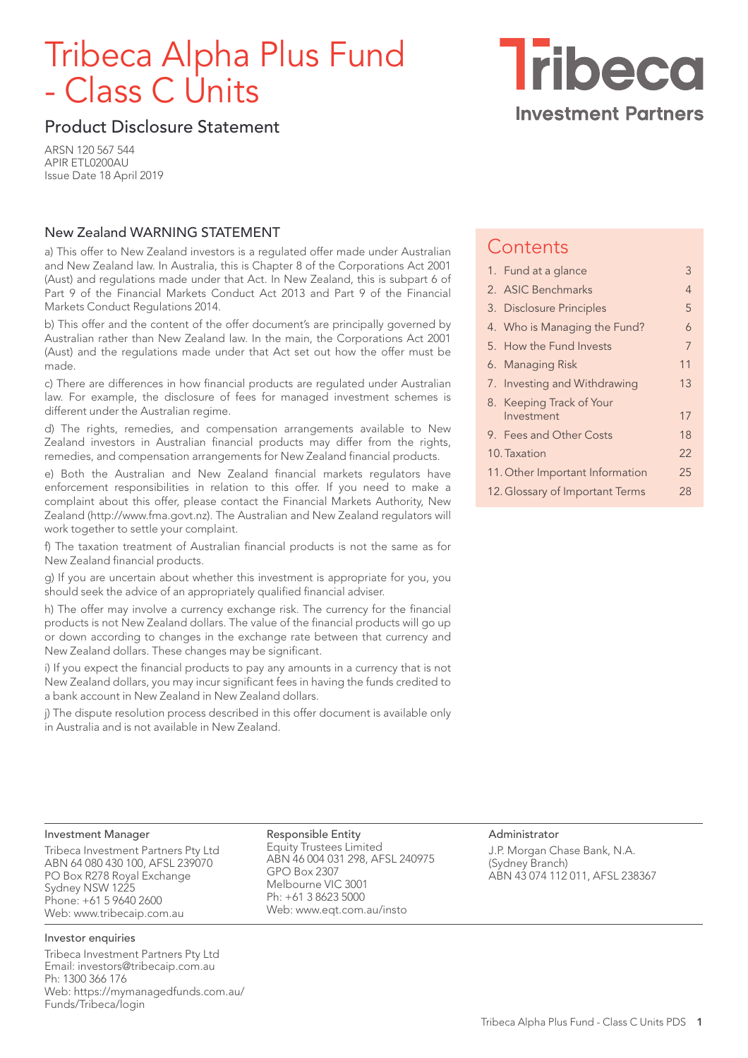# Tribeca Alpha Plus Fund - Class C Units

**Tribeca Investment Partners** 

## Product Disclosure Statement

ARSN 120 567 544 APIR ETL0200AU Issue Date 18 April 2019

## New Zealand WARNING STATEMENT

a) This offer to New Zealand investors is a regulated offer made under Australian and New Zealand law. In Australia, this is Chapter 8 of the Corporations Act 2001 (Aust) and regulations made under that Act. In New Zealand, this is subpart 6 of Part 9 of the Financial Markets Conduct Act 2013 and Part 9 of the Financial Markets Conduct Regulations 2014.

b) This offer and the content of the offer document's are principally governed by Australian rather than New Zealand law. In the main, the Corporations Act 2001 (Aust) and the regulations made under that Act set out how the offer must be made.

c) There are differences in how financial products are regulated under Australian law. For example, the disclosure of fees for managed investment schemes is different under the Australian regime.

d) The rights, remedies, and compensation arrangements available to New Zealand investors in Australian financial products may differ from the rights, remedies, and compensation arrangements for New Zealand financial products.

e) Both the Australian and New Zealand financial markets regulators have enforcement responsibilities in relation to this offer. If you need to make a complaint about this offer, please contact the Financial Markets Authority, New Zealand (http://www.fma.govt.nz). The Australian and New Zealand regulators will work together to settle your complaint.

f) The taxation treatment of Australian financial products is not the same as for New Zealand financial products.

g) If you are uncertain about whether this investment is appropriate for you, you should seek the advice of an appropriately qualified financial adviser.

h) The offer may involve a currency exchange risk. The currency for the financial products is not New Zealand dollars. The value of the financial products will go up or down according to changes in the exchange rate between that currency and New Zealand dollars. These changes may be significant.

i) If you expect the financial products to pay any amounts in a currency that is not New Zealand dollars, you may incur significant fees in having the funds credited to a bank account in New Zealand in New Zealand dollars.

j) The dispute resolution process described in this offer document is available only in Australia and is not available in New Zealand.

## **Contents**

|                                       | 1. Fund at a glance          | 3  |
|---------------------------------------|------------------------------|----|
|                                       | 2. ASIC Benchmarks           | 4  |
|                                       | 3. Disclosure Principles     | 5  |
|                                       | 4. Who is Managing the Fund? | 6  |
|                                       | 5. How the Fund Invests      | 7  |
|                                       | 6. Managing Risk             | 11 |
|                                       | 7. Investing and Withdrawing | 13 |
|                                       | 8. Keeping Track of Your     |    |
|                                       | Investment                   | 17 |
|                                       | 9. Fees and Other Costs      | 18 |
|                                       | 10. Taxation                 | 22 |
| 11. Other Important Information<br>25 |                              |    |
| 12. Glossary of Important Terms<br>28 |                              |    |

#### Investment Manager

Tribeca Investment Partners Pty Ltd ABN 64 080 430 100, AFSL 239070 PO Box R278 Royal Exchange Sydney NSW 1225 Phone: +61 5 9640 2600 Web: www.tribecaip.com.au

#### Investor enquiries

Tribeca Investment Partners Pty Ltd Email: investors@tribecaip.com.au Ph: 1300 366 176 Web: https://mymanagedfunds.com.au/ Funds/Tribeca/login

Responsible Entity Equity Trustees Limited ABN 46 004 031 298, AFSL 240975 GPO Box 2307 Melbourne VIC 3001 Ph: +61 3 8623 5000 Web: www.eqt.com.au/insto

Administrator J.P. Morgan Chase Bank, N.A. (Sydney Branch) ABN 43 074 112 011, AFSL 238367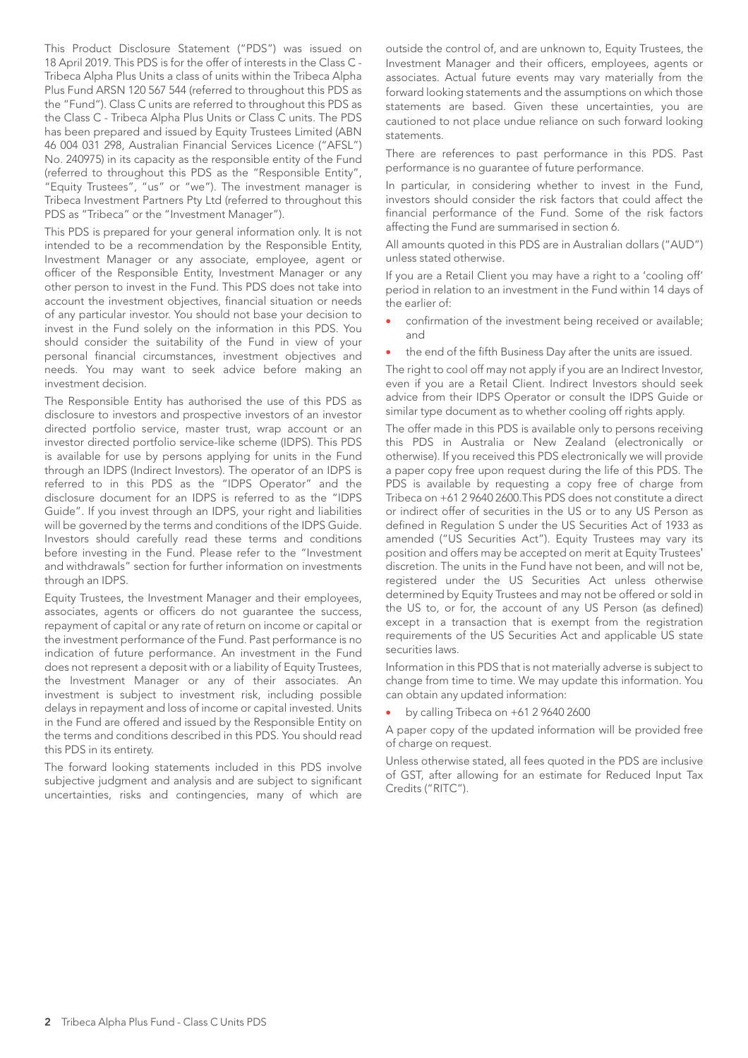This Product Disclosure Statement ("PDS") was issued on 18 April 2019. This PDS is for the offer of interests in the Class C - Tribeca Alpha Plus Units a class of units within the Tribeca Alpha Plus Fund ARSN 120 567 544 (referred to throughout this PDS as the "Fund"). Class C units are referred to throughout this PDS as the Class C - Tribeca Alpha Plus Units or Class C units. The PDS has been prepared and issued by Equity Trustees Limited (ABN 46 004 031 298, Australian Financial Services Licence ("AFSL") No. 240975) in its capacity as the responsible entity of the Fund (referred to throughout this PDS as the "Responsible Entity", "Equity Trustees", "us" or "we"). The investment manager is Tribeca Investment Partners Pty Ltd (referred to throughout this PDS as "Tribeca" or the "Investment Manager").

This PDS is prepared for your general information only. It is not intended to be a recommendation by the Responsible Entity, Investment Manager or any associate, employee, agent or officer of the Responsible Entity, Investment Manager or any other person to invest in the Fund. This PDS does not take into account the investment objectives, financial situation or needs of any particular investor. You should not base your decision to invest in the Fund solely on the information in this PDS. You should consider the suitability of the Fund in view of your personal financial circumstances, investment objectives and needs. You may want to seek advice before making an investment decision.

The Responsible Entity has authorised the use of this PDS as disclosure to investors and prospective investors of an investor directed portfolio service, master trust, wrap account or an investor directed portfolio service-like scheme (IDPS). This PDS is available for use by persons applying for units in the Fund through an IDPS (Indirect Investors). The operator of an IDPS is referred to in this PDS as the "IDPS Operator" and the disclosure document for an IDPS is referred to as the "IDPS Guide". If you invest through an IDPS, your right and liabilities will be governed by the terms and conditions of the IDPS Guide. Investors should carefully read these terms and conditions before investing in the Fund. Please refer to the "Investment and withdrawals" section for further information on investments through an IDPS.

Equity Trustees, the Investment Manager and their employees, associates, agents or officers do not guarantee the success, repayment of capital or any rate of return on income or capital or the investment performance of the Fund. Past performance is no indication of future performance. An investment in the Fund does not represent a deposit with or a liability of Equity Trustees, the Investment Manager or any of their associates. An investment is subject to investment risk, including possible delays in repayment and loss of income or capital invested. Units in the Fund are offered and issued by the Responsible Entity on the terms and conditions described in this PDS. You should read this PDS in its entirety.

The forward looking statements included in this PDS involve subjective judgment and analysis and are subject to significant uncertainties, risks and contingencies, many of which are

outside the control of, and are unknown to, Equity Trustees, the Investment Manager and their officers, employees, agents or associates. Actual future events may vary materially from the forward looking statements and the assumptions on which those statements are based. Given these uncertainties, you are cautioned to not place undue reliance on such forward looking statements.

There are references to past performance in this PDS. Past performance is no guarantee of future performance.

In particular, in considering whether to invest in the Fund, investors should consider the risk factors that could affect the financial performance of the Fund. Some of the risk factors affecting the Fund are summarised in section 6.

All amounts quoted in this PDS are in Australian dollars ("AUD") unless stated otherwise.

If you are a Retail Client you may have a right to a 'cooling off' period in relation to an investment in the Fund within 14 days of the earlier of:

- confirmation of the investment being received or available; and
- the end of the fifth Business Day after the units are issued.

The right to cool off may not apply if you are an Indirect Investor, even if you are a Retail Client. Indirect Investors should seek advice from their IDPS Operator or consult the IDPS Guide or similar type document as to whether cooling off rights apply.

The offer made in this PDS is available only to persons receiving this PDS in Australia or New Zealand (electronically or otherwise). If you received this PDS electronically we will provide a paper copy free upon request during the life of this PDS. The PDS is available by requesting a copy free of charge from Tribeca on +61 2 9640 2600.This PDS does not constitute a direct or indirect offer of securities in the US or to any US Person as defined in Regulation S under the US Securities Act of 1933 as amended ("US Securities Act"). Equity Trustees may vary its position and offers may be accepted on merit at Equity Trustees' discretion. The units in the Fund have not been, and will not be, registered under the US Securities Act unless otherwise determined by Equity Trustees and may not be offered or sold in the US to, or for, the account of any US Person (as defined) except in a transaction that is exempt from the registration requirements of the US Securities Act and applicable US state securities laws.

Information in this PDS that is not materially adverse is subject to change from time to time. We may update this information. You can obtain any updated information:

• by calling Tribeca on +61 2 9640 2600

A paper copy of the updated information will be provided free of charge on request.

Unless otherwise stated, all fees quoted in the PDS are inclusive of GST, after allowing for an estimate for Reduced Input Tax Credits ("RITC").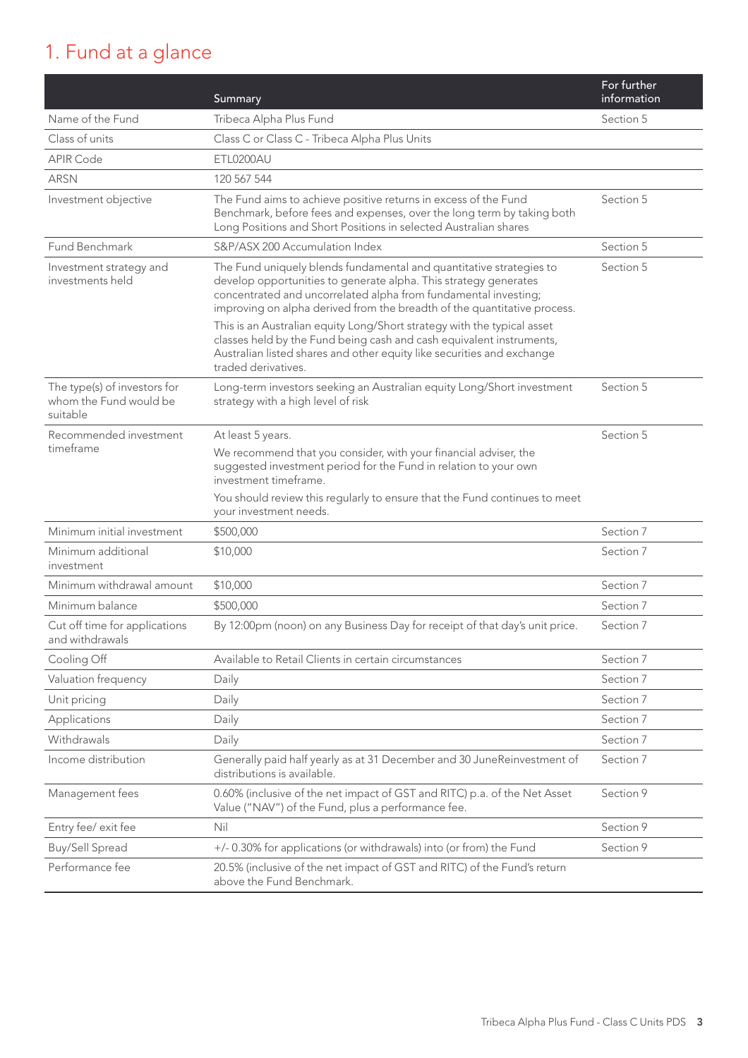## 1. Fund at a glance

|                                                                    | Summary                                                                                                                                                                                                                                                                                | For further<br>information |
|--------------------------------------------------------------------|----------------------------------------------------------------------------------------------------------------------------------------------------------------------------------------------------------------------------------------------------------------------------------------|----------------------------|
| Name of the Fund                                                   | Tribeca Alpha Plus Fund                                                                                                                                                                                                                                                                | Section 5                  |
| Class of units                                                     | Class C or Class C - Tribeca Alpha Plus Units                                                                                                                                                                                                                                          |                            |
| <b>APIR Code</b>                                                   | ETL0200AU                                                                                                                                                                                                                                                                              |                            |
| <b>ARSN</b>                                                        | 120 567 544                                                                                                                                                                                                                                                                            |                            |
| Investment objective                                               | The Fund aims to achieve positive returns in excess of the Fund<br>Benchmark, before fees and expenses, over the long term by taking both<br>Long Positions and Short Positions in selected Australian shares                                                                          | Section 5                  |
| Fund Benchmark                                                     | S&P/ASX 200 Accumulation Index                                                                                                                                                                                                                                                         | Section 5                  |
| Investment strategy and<br>investments held                        | The Fund uniquely blends fundamental and quantitative strategies to<br>develop opportunities to generate alpha. This strategy generates<br>concentrated and uncorrelated alpha from fundamental investing;<br>improving on alpha derived from the breadth of the quantitative process. | Section 5                  |
|                                                                    | This is an Australian equity Long/Short strategy with the typical asset<br>classes held by the Fund being cash and cash equivalent instruments,<br>Australian listed shares and other equity like securities and exchange<br>traded derivatives.                                       |                            |
| The type(s) of investors for<br>whom the Fund would be<br>suitable | Long-term investors seeking an Australian equity Long/Short investment<br>strategy with a high level of risk                                                                                                                                                                           | Section 5                  |
| Recommended investment<br>timeframe                                | At least 5 years.<br>We recommend that you consider, with your financial adviser, the<br>suggested investment period for the Fund in relation to your own<br>investment timeframe.<br>You should review this regularly to ensure that the Fund continues to meet                       | Section 5                  |
|                                                                    | your investment needs.                                                                                                                                                                                                                                                                 |                            |
| Minimum initial investment                                         | \$500,000                                                                                                                                                                                                                                                                              | Section 7<br>Section 7     |
| Minimum additional<br>investment                                   | \$10,000                                                                                                                                                                                                                                                                               |                            |
| Minimum withdrawal amount                                          | \$10,000                                                                                                                                                                                                                                                                               | Section 7                  |
| Minimum balance                                                    | \$500,000                                                                                                                                                                                                                                                                              | Section 7                  |
| Cut off time for applications<br>and withdrawals                   | By 12:00pm (noon) on any Business Day for receipt of that day's unit price.                                                                                                                                                                                                            | Section 7                  |
| Cooling Off                                                        | Available to Retail Clients in certain circumstances                                                                                                                                                                                                                                   | Section 7                  |
| Valuation frequency                                                | Daily                                                                                                                                                                                                                                                                                  | Section 7                  |
| Unit pricing                                                       | Daily                                                                                                                                                                                                                                                                                  | Section 7                  |
| Applications                                                       | Daily                                                                                                                                                                                                                                                                                  | Section 7                  |
| Withdrawals                                                        | Daily                                                                                                                                                                                                                                                                                  | Section 7                  |
| Income distribution                                                | Generally paid half yearly as at 31 December and 30 JuneReinvestment of<br>distributions is available.                                                                                                                                                                                 | Section 7                  |
| Management fees                                                    | 0.60% (inclusive of the net impact of GST and RITC) p.a. of the Net Asset<br>Value ("NAV") of the Fund, plus a performance fee.                                                                                                                                                        | Section 9                  |
| Entry fee/ exit fee                                                | Nil                                                                                                                                                                                                                                                                                    | Section 9                  |
| Buy/Sell Spread                                                    | +/- 0.30% for applications (or withdrawals) into (or from) the Fund                                                                                                                                                                                                                    | Section 9                  |
| Performance fee                                                    | 20.5% (inclusive of the net impact of GST and RITC) of the Fund's return<br>above the Fund Benchmark.                                                                                                                                                                                  |                            |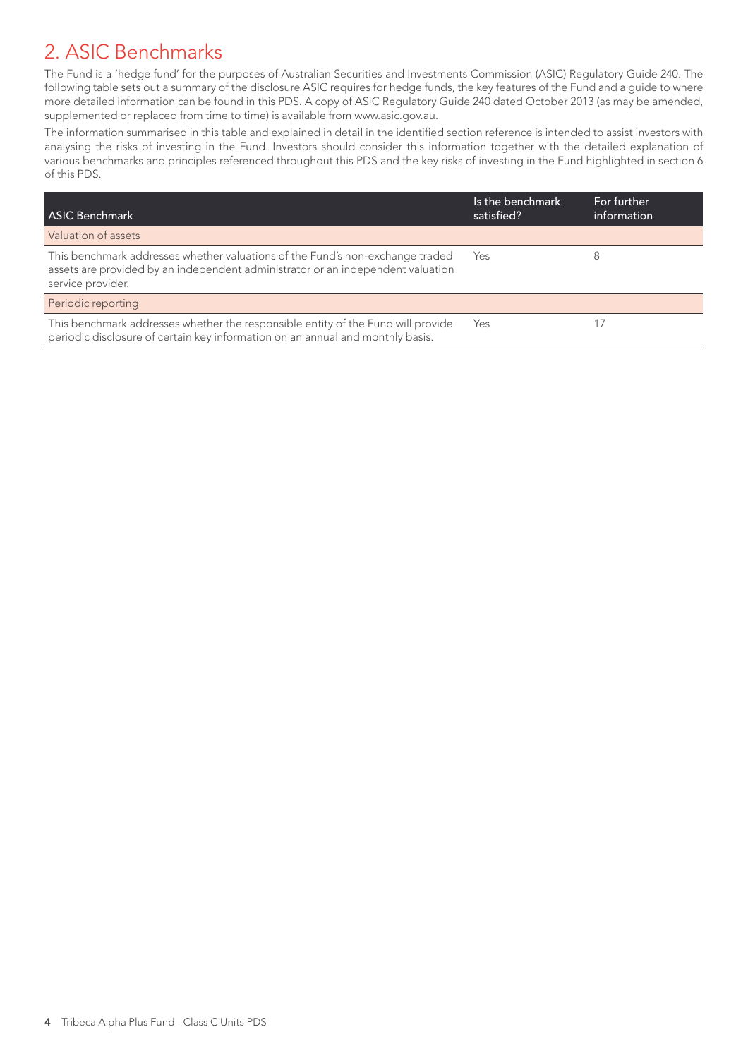## 2. ASIC Benchmarks

The Fund is a 'hedge fund' for the purposes of Australian Securities and Investments Commission (ASIC) Regulatory Guide 240. The following table sets out a summary of the disclosure ASIC requires for hedge funds, the key features of the Fund and a guide to where more detailed information can be found in this PDS. A copy of ASIC Regulatory Guide 240 dated October 2013 (as may be amended, supplemented or replaced from time to time) is available from www.asic.gov.au.

The information summarised in this table and explained in detail in the identified section reference is intended to assist investors with analysing the risks of investing in the Fund. Investors should consider this information together with the detailed explanation of various benchmarks and principles referenced throughout this PDS and the key risks of investing in the Fund highlighted in section 6 of this PDS.

| <b>ASIC Benchmark</b>                                                                                                                                                                 | Is the benchmark<br>satisfied? | For further<br>information |
|---------------------------------------------------------------------------------------------------------------------------------------------------------------------------------------|--------------------------------|----------------------------|
| Valuation of assets                                                                                                                                                                   |                                |                            |
| This benchmark addresses whether valuations of the Fund's non-exchange traded<br>assets are provided by an independent administrator or an independent valuation<br>service provider. | Yes                            |                            |
| Periodic reporting                                                                                                                                                                    |                                |                            |
| This benchmark addresses whether the responsible entity of the Fund will provide<br>periodic disclosure of certain key information on an annual and monthly basis.                    | Yes                            |                            |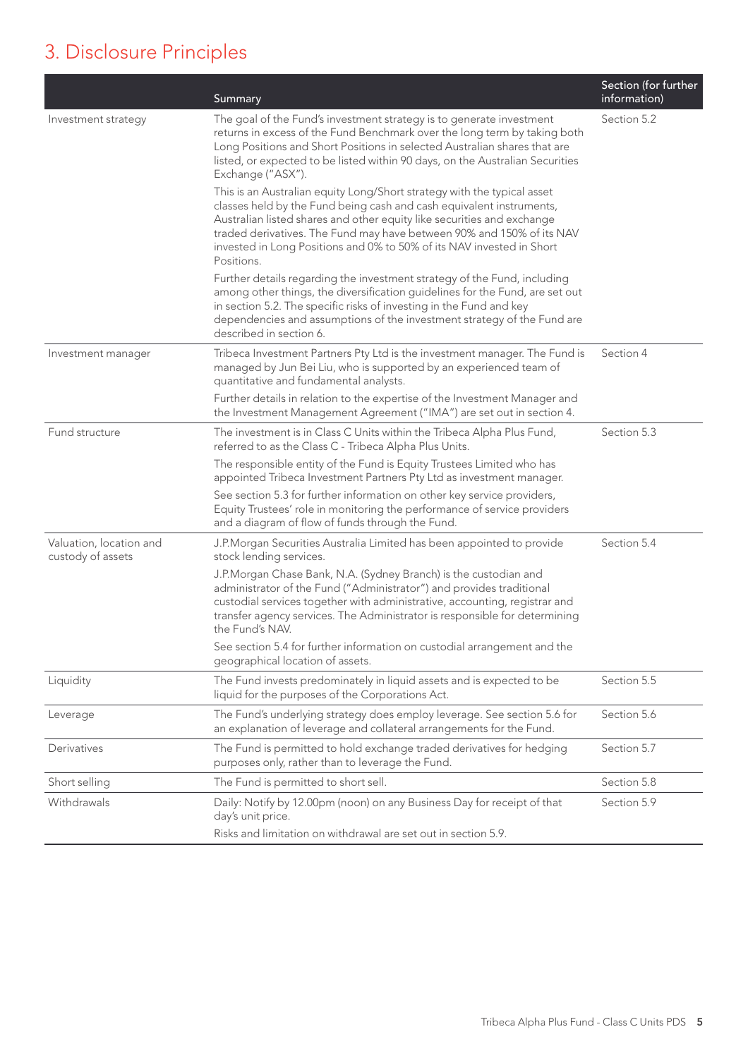## 3. Disclosure Principles

|                                              | Summary                                                                                                                                                                                                                                                                                                                                                                                   | Section (for further<br>information) |
|----------------------------------------------|-------------------------------------------------------------------------------------------------------------------------------------------------------------------------------------------------------------------------------------------------------------------------------------------------------------------------------------------------------------------------------------------|--------------------------------------|
| Investment strategy                          | The goal of the Fund's investment strategy is to generate investment<br>returns in excess of the Fund Benchmark over the long term by taking both<br>Long Positions and Short Positions in selected Australian shares that are<br>listed, or expected to be listed within 90 days, on the Australian Securities<br>Exchange ("ASX").                                                      | Section 5.2                          |
|                                              | This is an Australian equity Long/Short strategy with the typical asset<br>classes held by the Fund being cash and cash equivalent instruments,<br>Australian listed shares and other equity like securities and exchange<br>traded derivatives. The Fund may have between 90% and 150% of its NAV<br>invested in Long Positions and 0% to 50% of its NAV invested in Short<br>Positions. |                                      |
|                                              | Further details regarding the investment strategy of the Fund, including<br>among other things, the diversification guidelines for the Fund, are set out<br>in section 5.2. The specific risks of investing in the Fund and key<br>dependencies and assumptions of the investment strategy of the Fund are<br>described in section 6.                                                     |                                      |
| Investment manager                           | Tribeca Investment Partners Pty Ltd is the investment manager. The Fund is<br>managed by Jun Bei Liu, who is supported by an experienced team of<br>quantitative and fundamental analysts.                                                                                                                                                                                                | Section 4                            |
|                                              | Further details in relation to the expertise of the Investment Manager and<br>the Investment Management Agreement ("IMA") are set out in section 4.                                                                                                                                                                                                                                       |                                      |
| Fund structure                               | The investment is in Class C Units within the Tribeca Alpha Plus Fund,<br>referred to as the Class C - Tribeca Alpha Plus Units.                                                                                                                                                                                                                                                          | Section 5.3                          |
|                                              | The responsible entity of the Fund is Equity Trustees Limited who has<br>appointed Tribeca Investment Partners Pty Ltd as investment manager.                                                                                                                                                                                                                                             |                                      |
|                                              | See section 5.3 for further information on other key service providers,<br>Equity Trustees' role in monitoring the performance of service providers<br>and a diagram of flow of funds through the Fund.                                                                                                                                                                                   |                                      |
| Valuation, location and<br>custody of assets | J.P.Morgan Securities Australia Limited has been appointed to provide<br>stock lending services.                                                                                                                                                                                                                                                                                          | Section 5.4                          |
|                                              | J.P.Morgan Chase Bank, N.A. (Sydney Branch) is the custodian and<br>administrator of the Fund ("Administrator") and provides traditional<br>custodial services together with administrative, accounting, registrar and<br>transfer agency services. The Administrator is responsible for determining<br>the Fund's NAV.                                                                   |                                      |
|                                              | See section 5.4 for further information on custodial arrangement and the<br>geographical location of assets.                                                                                                                                                                                                                                                                              |                                      |
| Liquidity                                    | The Fund invests predominately in liquid assets and is expected to be<br>liquid for the purposes of the Corporations Act.                                                                                                                                                                                                                                                                 | Section 5.5                          |
| Leverage                                     | The Fund's underlying strategy does employ leverage. See section 5.6 for<br>an explanation of leverage and collateral arrangements for the Fund.                                                                                                                                                                                                                                          | Section 5.6                          |
| Derivatives                                  | The Fund is permitted to hold exchange traded derivatives for hedging<br>purposes only, rather than to leverage the Fund.                                                                                                                                                                                                                                                                 | Section 5.7                          |
| Short selling                                | The Fund is permitted to short sell.                                                                                                                                                                                                                                                                                                                                                      | Section 5.8                          |
| Withdrawals                                  | Daily: Notify by 12.00pm (noon) on any Business Day for receipt of that<br>day's unit price.                                                                                                                                                                                                                                                                                              | Section 5.9                          |
|                                              | Risks and limitation on withdrawal are set out in section 5.9.                                                                                                                                                                                                                                                                                                                            |                                      |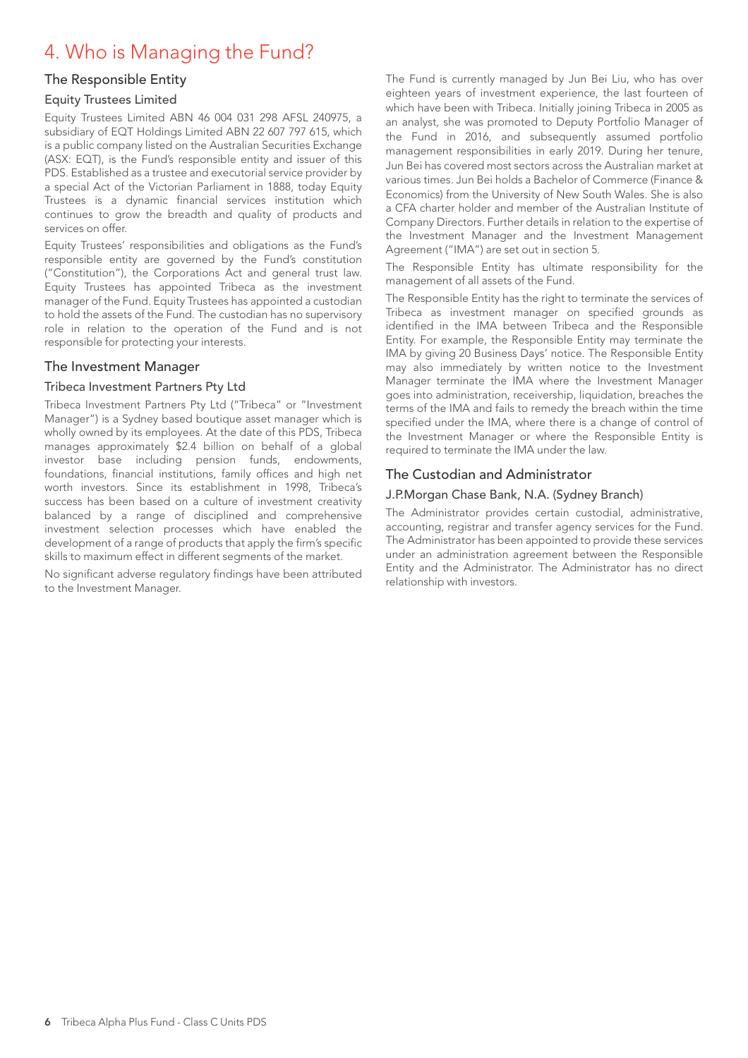## 4. Who is Managing the Fund?

## The Responsible Entity

#### Equity Trustees Limited

Equity Trustees Limited ABN 46 004 031 298 AFSL 240975, a subsidiary of EQT Holdings Limited ABN 22 607 797 615, which is a public company listed on the Australian Securities Exchange (ASX: EQT), is the Fund's responsible entity and issuer of this PDS. Established as a trustee and executorial service provider by a special Act of the Victorian Parliament in 1888, today Equity Trustees is a dynamic financial services institution which continues to grow the breadth and quality of products and services on offer.

Equity Trustees' responsibilities and obligations as the Fund's responsible entity are governed by the Fund's constitution ("Constitution"), the Corporations Act and general trust law. Equity Trustees has appointed Tribeca as the investment manager of the Fund. Equity Trustees has appointed a custodian to hold the assets of the Fund. The custodian has no supervisory role in relation to the operation of the Fund and is not responsible for protecting your interests.

#### The Investment Manager

#### Tribeca Investment Partners Pty Ltd

Tribeca Investment Partners Pty Ltd ("Tribeca" or "Investment Manager") is a Sydney based boutique asset manager which is wholly owned by its employees. At the date of this PDS, Tribeca manages approximately \$2.4 billion on behalf of a global investor base including pension funds, endowments, foundations, financial institutions, family offices and high net worth investors. Since its establishment in 1998, Tribeca's success has been based on a culture of investment creativity balanced by a range of disciplined and comprehensive investment selection processes which have enabled the development of a range of products that apply the firm's specific skills to maximum effect in different segments of the market.

No significant adverse regulatory findings have been attributed to the Investment Manager.

The Fund is currently managed by Jun Bei Liu, who has over eighteen years of investment experience, the last fourteen of which have been with Tribeca. Initially joining Tribeca in 2005 as an analyst, she was promoted to Deputy Portfolio Manager of the Fund in 2016, and subsequently assumed portfolio management responsibilities in early 2019. During her tenure, Jun Bei has covered most sectors across the Australian market at various times. Jun Bei holds a Bachelor of Commerce (Finance & Economics) from the University of New South Wales. She is also a CFA charter holder and member of the Australian Institute of Company Directors. Further details in relation to the expertise of the Investment Manager and the Investment Management Agreement ("IMA") are set out in section 5.

The Responsible Entity has ultimate responsibility for the management of all assets of the Fund.

The Responsible Entity has the right to terminate the services of Tribeca as investment manager on specified grounds as identified in the IMA between Tribeca and the Responsible Entity. For example, the Responsible Entity may terminate the IMA by giving 20 Business Days' notice. The Responsible Entity may also immediately by written notice to the Investment Manager terminate the IMA where the Investment Manager goes into administration, receivership, liquidation, breaches the terms of the IMA and fails to remedy the breach within the time specified under the IMA, where there is a change of control of the Investment Manager or where the Responsible Entity is required to terminate the IMA under the law.

### The Custodian and Administrator

#### J.P.Morgan Chase Bank, N.A. (Sydney Branch)

The Administrator provides certain custodial, administrative, accounting, registrar and transfer agency services for the Fund. The Administrator has been appointed to provide these services under an administration agreement between the Responsible Entity and the Administrator. The Administrator has no direct relationship with investors.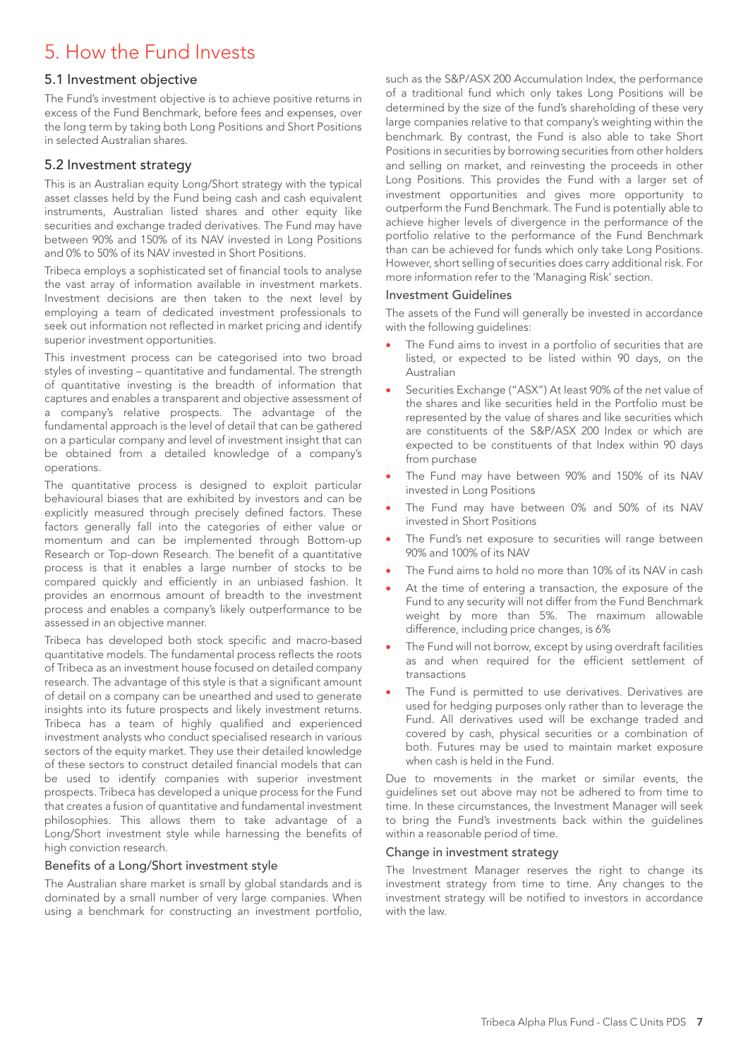## 5. How the Fund Invests

#### 5.1 Investment objective

The Fund's investment objective is to achieve positive returns in excess of the Fund Benchmark, before fees and expenses, over the long term by taking both Long Positions and Short Positions in selected Australian shares.

### 5.2 Investment strategy

This is an Australian equity Long/Short strategy with the typical asset classes held by the Fund being cash and cash equivalent instruments, Australian listed shares and other equity like securities and exchange traded derivatives. The Fund may have between 90% and 150% of its NAV invested in Long Positions and 0% to 50% of its NAV invested in Short Positions.

Tribeca employs a sophisticated set of financial tools to analyse the vast array of information available in investment markets. Investment decisions are then taken to the next level by employing a team of dedicated investment professionals to seek out information not reflected in market pricing and identify superior investment opportunities.

This investment process can be categorised into two broad styles of investing – quantitative and fundamental. The strength of quantitative investing is the breadth of information that captures and enables a transparent and objective assessment of a company's relative prospects. The advantage of the fundamental approach is the level of detail that can be gathered on a particular company and level of investment insight that can be obtained from a detailed knowledge of a company's operations.

The quantitative process is designed to exploit particular behavioural biases that are exhibited by investors and can be explicitly measured through precisely defined factors. These factors generally fall into the categories of either value or momentum and can be implemented through Bottom-up Research or Top-down Research. The benefit of a quantitative process is that it enables a large number of stocks to be compared quickly and efficiently in an unbiased fashion. It provides an enormous amount of breadth to the investment process and enables a company's likely outperformance to be assessed in an objective manner.

Tribeca has developed both stock specific and macro-based quantitative models. The fundamental process reflects the roots of Tribeca as an investment house focused on detailed company research. The advantage of this style is that a significant amount of detail on a company can be unearthed and used to generate insights into its future prospects and likely investment returns. Tribeca has a team of highly qualified and experienced investment analysts who conduct specialised research in various sectors of the equity market. They use their detailed knowledge of these sectors to construct detailed financial models that can be used to identify companies with superior investment prospects. Tribeca has developed a unique process for the Fund that creates a fusion of quantitative and fundamental investment philosophies. This allows them to take advantage of a Long/Short investment style while harnessing the benefits of high conviction research.

#### Benefits of a Long/Short investment style

The Australian share market is small by global standards and is dominated by a small number of very large companies. When using a benchmark for constructing an investment portfolio,

such as the S&P/ASX 200 Accumulation Index, the performance of a traditional fund which only takes Long Positions will be determined by the size of the fund's shareholding of these very large companies relative to that company's weighting within the benchmark. By contrast, the Fund is also able to take Short Positions in securities by borrowing securities from other holders and selling on market, and reinvesting the proceeds in other Long Positions. This provides the Fund with a larger set of investment opportunities and gives more opportunity to outperform the Fund Benchmark. The Fund is potentially able to achieve higher levels of divergence in the performance of the portfolio relative to the performance of the Fund Benchmark than can be achieved for funds which only take Long Positions. However, short selling of securities does carry additional risk. For more information refer to the 'Managing Risk' section.

#### Investment Guidelines

The assets of the Fund will generally be invested in accordance with the following guidelines:

- The Fund aims to invest in a portfolio of securities that are listed, or expected to be listed within 90 days, on the Australian
- Securities Exchange ("ASX") At least 90% of the net value of the shares and like securities held in the Portfolio must be represented by the value of shares and like securities which are constituents of the S&P/ASX 200 Index or which are expected to be constituents of that Index within 90 days from purchase
- The Fund may have between 90% and 150% of its NAV invested in Long Positions
- The Fund may have between 0% and 50% of its NAV invested in Short Positions
- The Fund's net exposure to securities will range between 90% and 100% of its NAV
- The Fund aims to hold no more than 10% of its NAV in cash
- At the time of entering a transaction, the exposure of the Fund to any security will not differ from the Fund Benchmark weight by more than 5%. The maximum allowable difference, including price changes, is 6%
- The Fund will not borrow, except by using overdraft facilities as and when required for the efficient settlement of transactions
- The Fund is permitted to use derivatives. Derivatives are used for hedging purposes only rather than to leverage the Fund. All derivatives used will be exchange traded and covered by cash, physical securities or a combination of both. Futures may be used to maintain market exposure when cash is held in the Fund.

Due to movements in the market or similar events, the guidelines set out above may not be adhered to from time to time. In these circumstances, the Investment Manager will seek to bring the Fund's investments back within the guidelines within a reasonable period of time.

#### Change in investment strategy

The Investment Manager reserves the right to change its investment strategy from time to time. Any changes to the investment strategy will be notified to investors in accordance with the law.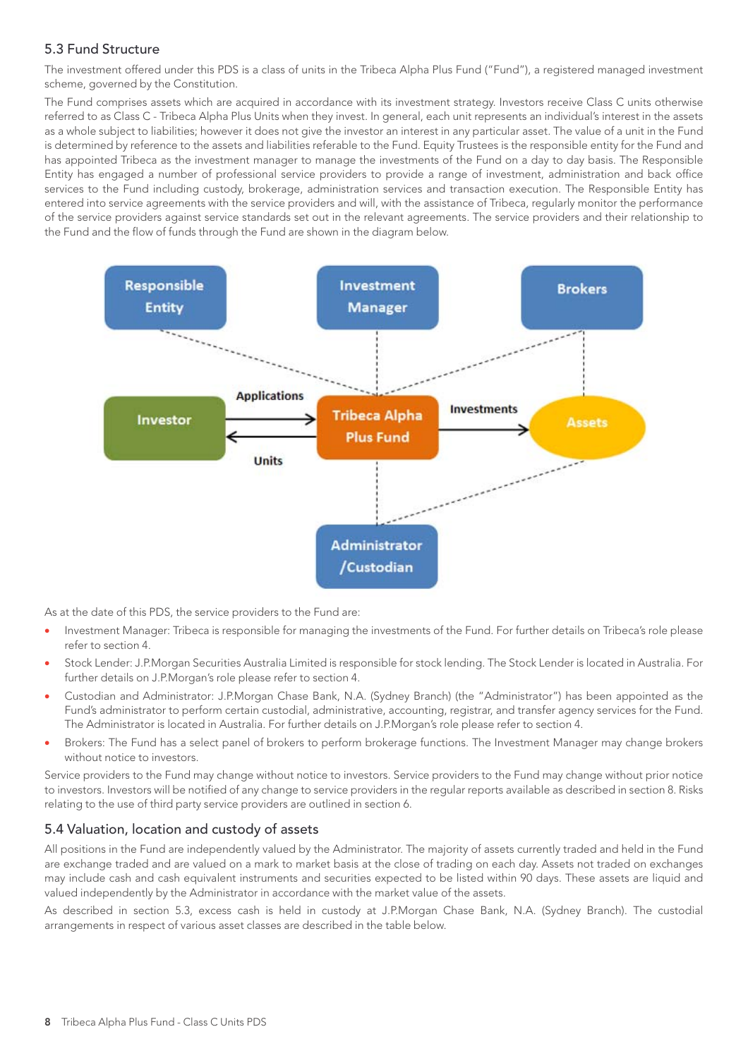## 5.3 Fund Structure

The investment offered under this PDS is a class of units in the Tribeca Alpha Plus Fund ("Fund"), a registered managed investment scheme, governed by the Constitution.

The Fund comprises assets which are acquired in accordance with its investment strategy. Investors receive Class C units otherwise referred to as Class C - Tribeca Alpha Plus Units when they invest. In general, each unit represents an individual's interest in the assets as a whole subject to liabilities; however it does not give the investor an interest in any particular asset. The value of a unit in the Fund is determined by reference to the assets and liabilities referable to the Fund. Equity Trustees is the responsible entity for the Fund and has appointed Tribeca as the investment manager to manage the investments of the Fund on a day to day basis. The Responsible Entity has engaged a number of professional service providers to provide a range of investment, administration and back office services to the Fund including custody, brokerage, administration services and transaction execution. The Responsible Entity has entered into service agreements with the service providers and will, with the assistance of Tribeca, regularly monitor the performance of the service providers against service standards set out in the relevant agreements. The service providers and their relationship to the Fund and the flow of funds through the Fund are shown in the diagram below.



As at the date of this PDS, the service providers to the Fund are:

- Investment Manager: Tribeca is responsible for managing the investments of the Fund. For further details on Tribeca's role please refer to section 4.
- Stock Lender: J.P.Morgan Securities Australia Limited is responsible for stock lending. The Stock Lender is located in Australia. For further details on J.P.Morgan's role please refer to section 4.
- Custodian and Administrator: J.P.Morgan Chase Bank, N.A. (Sydney Branch) (the "Administrator") has been appointed as the Fund's administrator to perform certain custodial, administrative, accounting, registrar, and transfer agency services for the Fund. The Administrator is located in Australia. For further details on J.P.Morgan's role please refer to section 4.
- Brokers: The Fund has a select panel of brokers to perform brokerage functions. The Investment Manager may change brokers without notice to investors.

Service providers to the Fund may change without notice to investors. Service providers to the Fund may change without prior notice to investors. Investors will be notified of any change to service providers in the regular reports available as described in section 8. Risks relating to the use of third party service providers are outlined in section 6.

## 5.4 Valuation, location and custody of assets

All positions in the Fund are independently valued by the Administrator. The majority of assets currently traded and held in the Fund are exchange traded and are valued on a mark to market basis at the close of trading on each day. Assets not traded on exchanges may include cash and cash equivalent instruments and securities expected to be listed within 90 days. These assets are liquid and valued independently by the Administrator in accordance with the market value of the assets.

As described in section 5.3, excess cash is held in custody at J.P.Morgan Chase Bank, N.A. (Sydney Branch). The custodial arrangements in respect of various asset classes are described in the table below.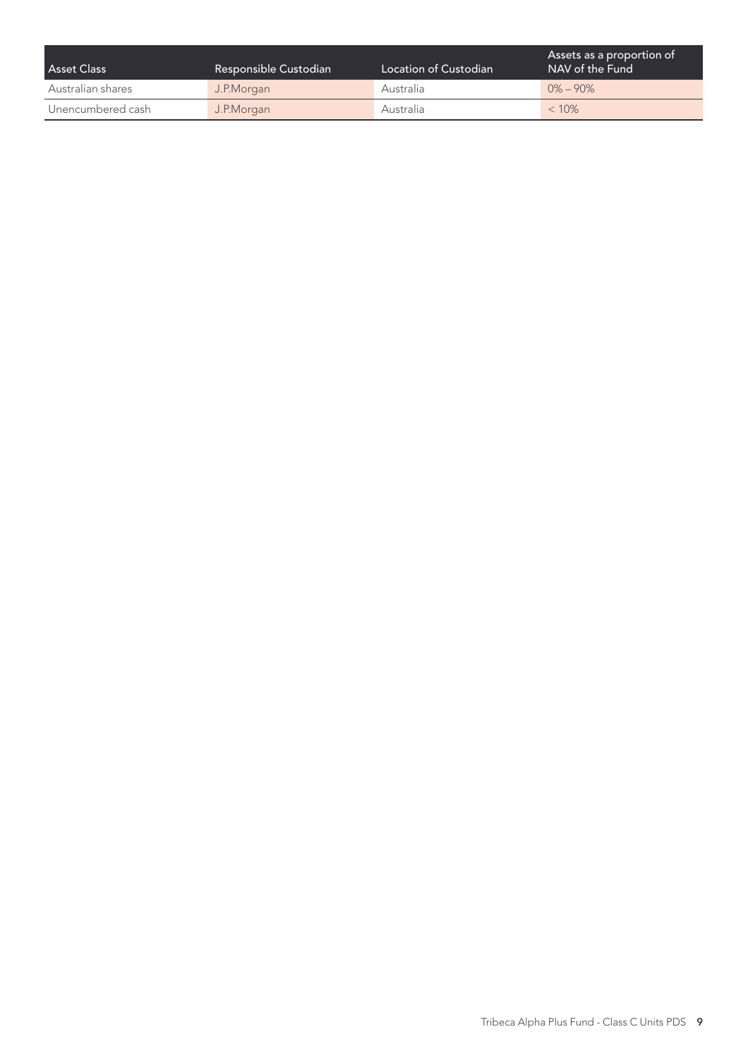| <b>Asset Class</b> | Responsible Custodian | Location of Custodian | Assets as a proportion of<br>NAV of the Fund |
|--------------------|-----------------------|-----------------------|----------------------------------------------|
| Australian shares  | J.P.Morgan            | Australia             | $0\% - 90\%$                                 |
| Unencumbered cash  | J.P.Morgan            | Australia             | $< 10\%$                                     |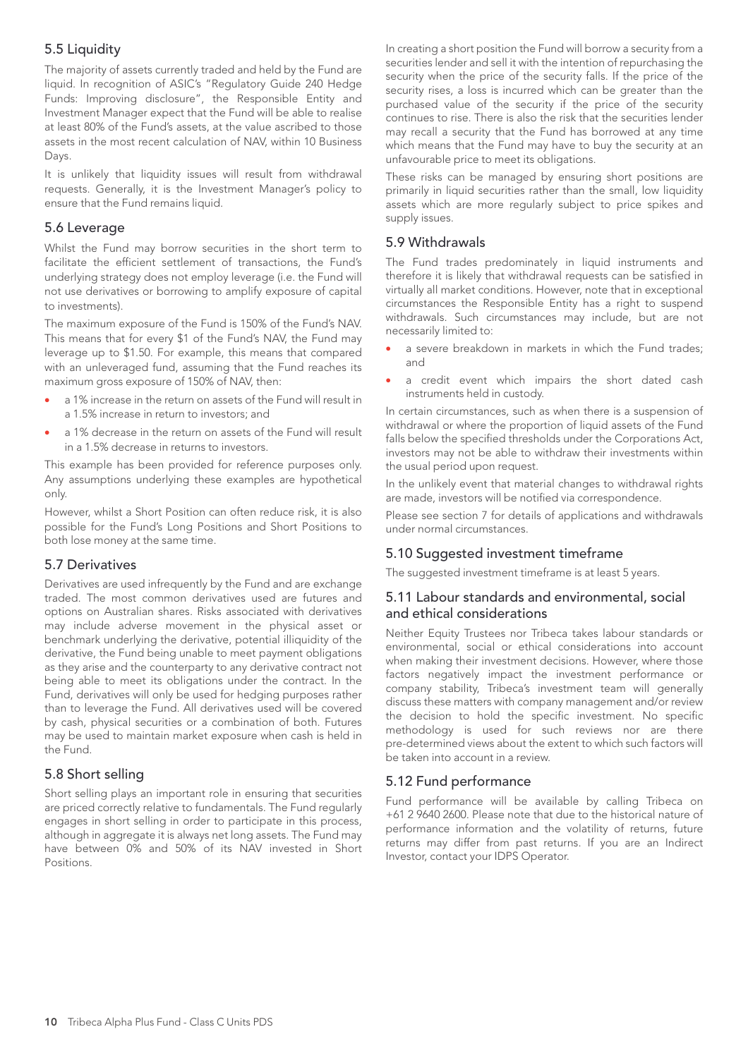## 5.5 Liquidity

The majority of assets currently traded and held by the Fund are liquid. In recognition of ASIC's "Regulatory Guide 240 Hedge Funds: Improving disclosure", the Responsible Entity and Investment Manager expect that the Fund will be able to realise at least 80% of the Fund's assets, at the value ascribed to those assets in the most recent calculation of NAV, within 10 Business Days.

It is unlikely that liquidity issues will result from withdrawal requests. Generally, it is the Investment Manager's policy to ensure that the Fund remains liquid.

### 5.6 Leverage

Whilst the Fund may borrow securities in the short term to facilitate the efficient settlement of transactions, the Fund's underlying strategy does not employ leverage (i.e. the Fund will not use derivatives or borrowing to amplify exposure of capital to investments).

The maximum exposure of the Fund is 150% of the Fund's NAV. This means that for every \$1 of the Fund's NAV, the Fund may leverage up to \$1.50. For example, this means that compared with an unleveraged fund, assuming that the Fund reaches its maximum gross exposure of 150% of NAV, then:

- a 1% increase in the return on assets of the Fund will result in a 1.5% increase in return to investors; and
- a 1% decrease in the return on assets of the Fund will result in a 1.5% decrease in returns to investors.

This example has been provided for reference purposes only. Any assumptions underlying these examples are hypothetical only.

However, whilst a Short Position can often reduce risk, it is also possible for the Fund's Long Positions and Short Positions to both lose money at the same time.

## 5.7 Derivatives

Derivatives are used infrequently by the Fund and are exchange traded. The most common derivatives used are futures and options on Australian shares. Risks associated with derivatives may include adverse movement in the physical asset or benchmark underlying the derivative, potential illiquidity of the derivative, the Fund being unable to meet payment obligations as they arise and the counterparty to any derivative contract not being able to meet its obligations under the contract. In the Fund, derivatives will only be used for hedging purposes rather than to leverage the Fund. All derivatives used will be covered by cash, physical securities or a combination of both. Futures may be used to maintain market exposure when cash is held in the Fund.

## 5.8 Short selling

Short selling plays an important role in ensuring that securities are priced correctly relative to fundamentals. The Fund regularly engages in short selling in order to participate in this process, although in aggregate it is always net long assets. The Fund may have between 0% and 50% of its NAV invested in Short **Positions** 

In creating a short position the Fund will borrow a security from a securities lender and sell it with the intention of repurchasing the security when the price of the security falls. If the price of the security rises, a loss is incurred which can be greater than the purchased value of the security if the price of the security continues to rise. There is also the risk that the securities lender may recall a security that the Fund has borrowed at any time which means that the Fund may have to buy the security at an unfavourable price to meet its obligations.

These risks can be managed by ensuring short positions are primarily in liquid securities rather than the small, low liquidity assets which are more regularly subject to price spikes and supply issues.

#### 5.9 Withdrawals

The Fund trades predominately in liquid instruments and therefore it is likely that withdrawal requests can be satisfied in virtually all market conditions. However, note that in exceptional circumstances the Responsible Entity has a right to suspend withdrawals. Such circumstances may include, but are not necessarily limited to:

- a severe breakdown in markets in which the Fund trades; and
- a credit event which impairs the short dated cash instruments held in custody.

In certain circumstances, such as when there is a suspension of withdrawal or where the proportion of liquid assets of the Fund falls below the specified thresholds under the Corporations Act, investors may not be able to withdraw their investments within the usual period upon request.

In the unlikely event that material changes to withdrawal rights are made, investors will be notified via correspondence.

Please see section 7 for details of applications and withdrawals under normal circumstances.

## 5.10 Suggested investment timeframe

The suggested investment timeframe is at least 5 years.

#### 5.11 Labour standards and environmental, social and ethical considerations

Neither Equity Trustees nor Tribeca takes labour standards or environmental, social or ethical considerations into account when making their investment decisions. However, where those factors negatively impact the investment performance or company stability, Tribeca's investment team will generally discuss these matters with company management and/or review the decision to hold the specific investment. No specific methodology is used for such reviews nor are there pre-determined views about the extent to which such factors will be taken into account in a review.

#### 5.12 Fund performance

Fund performance will be available by calling Tribeca on +61 2 9640 2600. Please note that due to the historical nature of performance information and the volatility of returns, future returns may differ from past returns. If you are an Indirect Investor, contact your IDPS Operator.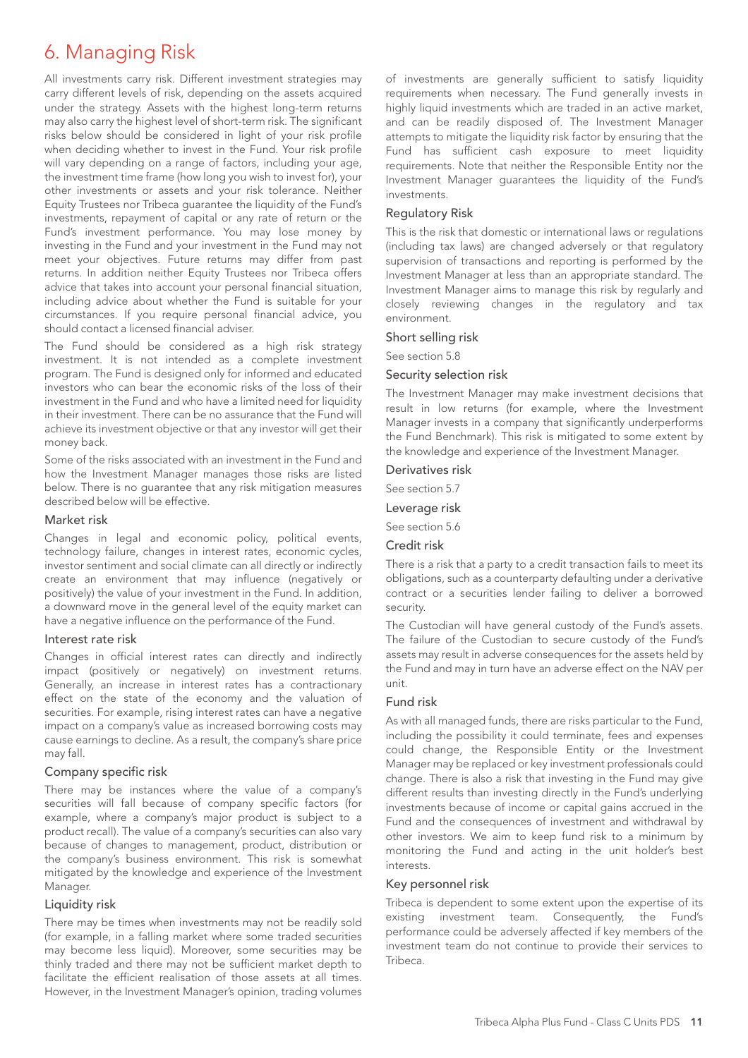## 6. Managing Risk

All investments carry risk. Different investment strategies may carry different levels of risk, depending on the assets acquired under the strategy. Assets with the highest long-term returns may also carry the highest level of short-term risk. The significant risks below should be considered in light of your risk profile when deciding whether to invest in the Fund. Your risk profile will vary depending on a range of factors, including your age, the investment time frame (how long you wish to invest for), your other investments or assets and your risk tolerance. Neither Equity Trustees nor Tribeca guarantee the liquidity of the Fund's investments, repayment of capital or any rate of return or the Fund's investment performance. You may lose money by investing in the Fund and your investment in the Fund may not meet your objectives. Future returns may differ from past returns. In addition neither Equity Trustees nor Tribeca offers advice that takes into account your personal financial situation, including advice about whether the Fund is suitable for your circumstances. If you require personal financial advice, you should contact a licensed financial adviser.

The Fund should be considered as a high risk strategy investment. It is not intended as a complete investment program. The Fund is designed only for informed and educated investors who can bear the economic risks of the loss of their investment in the Fund and who have a limited need for liquidity in their investment. There can be no assurance that the Fund will achieve its investment objective or that any investor will get their money back.

Some of the risks associated with an investment in the Fund and how the Investment Manager manages those risks are listed below. There is no guarantee that any risk mitigation measures described below will be effective.

#### Market risk

Changes in legal and economic policy, political events, technology failure, changes in interest rates, economic cycles, investor sentiment and social climate can all directly or indirectly create an environment that may influence (negatively or positively) the value of your investment in the Fund. In addition, a downward move in the general level of the equity market can have a negative influence on the performance of the Fund.

#### Interest rate risk

Changes in official interest rates can directly and indirectly impact (positively or negatively) on investment returns. Generally, an increase in interest rates has a contractionary effect on the state of the economy and the valuation of securities. For example, rising interest rates can have a negative impact on a company's value as increased borrowing costs may cause earnings to decline. As a result, the company's share price may fall.

#### Company specific risk

There may be instances where the value of a company's securities will fall because of company specific factors (for example, where a company's major product is subject to a product recall). The value of a company's securities can also vary because of changes to management, product, distribution or the company's business environment. This risk is somewhat mitigated by the knowledge and experience of the Investment Manager.

#### Liquidity risk

There may be times when investments may not be readily sold (for example, in a falling market where some traded securities may become less liquid). Moreover, some securities may be thinly traded and there may not be sufficient market depth to facilitate the efficient realisation of those assets at all times. However, in the Investment Manager's opinion, trading volumes of investments are generally sufficient to satisfy liquidity requirements when necessary. The Fund generally invests in highly liquid investments which are traded in an active market, and can be readily disposed of. The Investment Manager attempts to mitigate the liquidity risk factor by ensuring that the Fund has sufficient cash exposure to meet liquidity requirements. Note that neither the Responsible Entity nor the Investment Manager guarantees the liquidity of the Fund's investments.

#### Regulatory Risk

This is the risk that domestic or international laws or regulations (including tax laws) are changed adversely or that regulatory supervision of transactions and reporting is performed by the Investment Manager at less than an appropriate standard. The Investment Manager aims to manage this risk by regularly and closely reviewing changes in the regulatory and tax environment.

#### Short selling risk

See section 5.8

#### Security selection risk

The Investment Manager may make investment decisions that result in low returns (for example, where the Investment Manager invests in a company that significantly underperforms the Fund Benchmark). This risk is mitigated to some extent by the knowledge and experience of the Investment Manager.

#### Derivatives risk

See section 5.7

### Leverage risk

See section 5.6

#### Credit risk

There is a risk that a party to a credit transaction fails to meet its obligations, such as a counterparty defaulting under a derivative contract or a securities lender failing to deliver a borrowed security.

The Custodian will have general custody of the Fund's assets. The failure of the Custodian to secure custody of the Fund's assets may result in adverse consequences for the assets held by the Fund and may in turn have an adverse effect on the NAV per unit.

#### Fund risk

As with all managed funds, there are risks particular to the Fund, including the possibility it could terminate, fees and expenses could change, the Responsible Entity or the Investment Manager may be replaced or key investment professionals could change. There is also a risk that investing in the Fund may give different results than investing directly in the Fund's underlying investments because of income or capital gains accrued in the Fund and the consequences of investment and withdrawal by other investors. We aim to keep fund risk to a minimum by monitoring the Fund and acting in the unit holder's best interests.

#### Key personnel risk

Tribeca is dependent to some extent upon the expertise of its existing investment team. Consequently, the Fund's performance could be adversely affected if key members of the investment team do not continue to provide their services to Tribeca.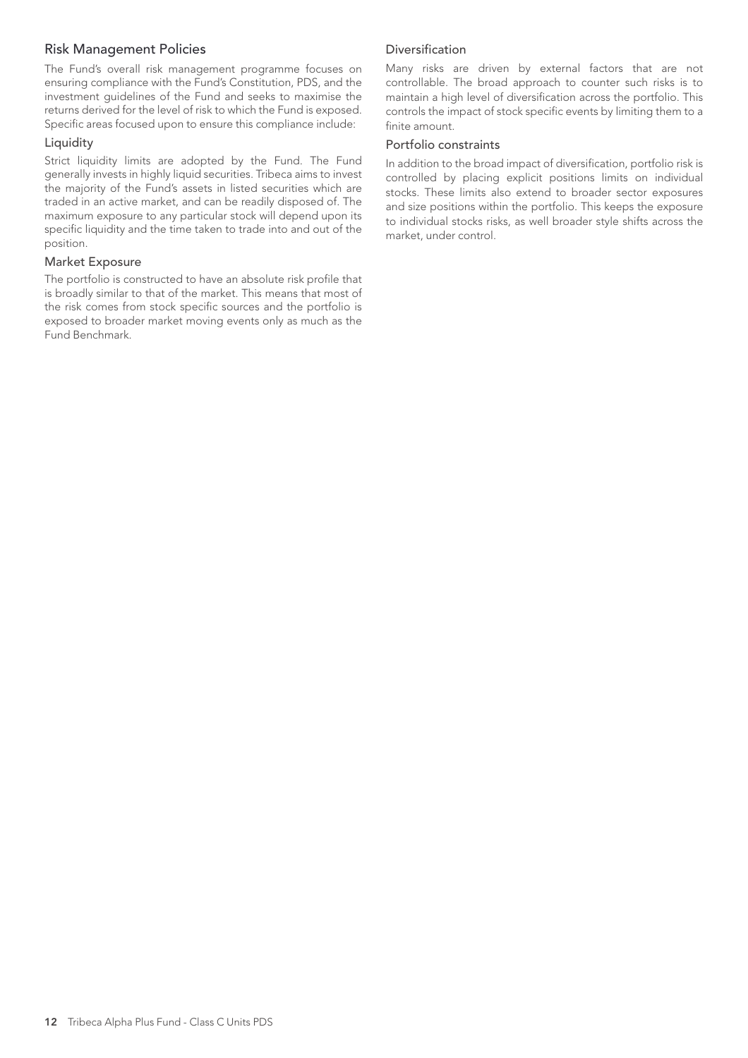#### Risk Management Policies

The Fund's overall risk management programme focuses on ensuring compliance with the Fund's Constitution, PDS, and the investment guidelines of the Fund and seeks to maximise the returns derived for the level of risk to which the Fund is exposed. Specific areas focused upon to ensure this compliance include:

#### Liquidity

Strict liquidity limits are adopted by the Fund. The Fund generally invests in highly liquid securities. Tribeca aims to invest the majority of the Fund's assets in listed securities which are traded in an active market, and can be readily disposed of. The maximum exposure to any particular stock will depend upon its specific liquidity and the time taken to trade into and out of the position.

#### Market Exposure

The portfolio is constructed to have an absolute risk profile that is broadly similar to that of the market. This means that most of the risk comes from stock specific sources and the portfolio is exposed to broader market moving events only as much as the Fund Benchmark.

#### Diversification

Many risks are driven by external factors that are not controllable. The broad approach to counter such risks is to maintain a high level of diversification across the portfolio. This controls the impact of stock specific events by limiting them to a finite amount.

#### Portfolio constraints

In addition to the broad impact of diversification, portfolio risk is controlled by placing explicit positions limits on individual stocks. These limits also extend to broader sector exposures and size positions within the portfolio. This keeps the exposure to individual stocks risks, as well broader style shifts across the market, under control.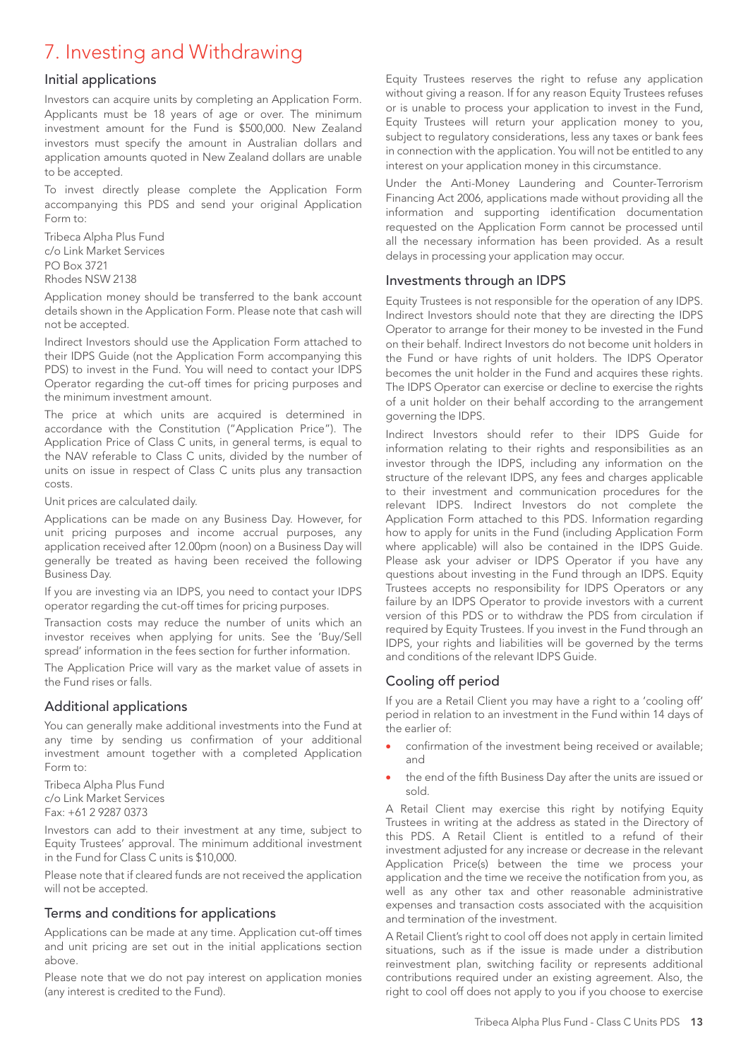## 7. Investing and Withdrawing

#### Initial applications

Investors can acquire units by completing an Application Form. Applicants must be 18 years of age or over. The minimum investment amount for the Fund is \$500,000. New Zealand investors must specify the amount in Australian dollars and application amounts quoted in New Zealand dollars are unable to be accepted.

To invest directly please complete the Application Form accompanying this PDS and send your original Application Form to:

Tribeca Alpha Plus Fund c/o Link Market Services PO Box 3721 Rhodes NSW 2138

Application money should be transferred to the bank account details shown in the Application Form. Please note that cash will not be accepted.

Indirect Investors should use the Application Form attached to their IDPS Guide (not the Application Form accompanying this PDS) to invest in the Fund. You will need to contact your IDPS Operator regarding the cut-off times for pricing purposes and the minimum investment amount.

The price at which units are acquired is determined in accordance with the Constitution ("Application Price"). The Application Price of Class C units, in general terms, is equal to the NAV referable to Class C units, divided by the number of units on issue in respect of Class C units plus any transaction costs.

Unit prices are calculated daily.

Applications can be made on any Business Day. However, for unit pricing purposes and income accrual purposes, any application received after 12.00pm (noon) on a Business Day will generally be treated as having been received the following Business Day.

If you are investing via an IDPS, you need to contact your IDPS operator regarding the cut-off times for pricing purposes.

Transaction costs may reduce the number of units which an investor receives when applying for units. See the 'Buy/Sell spread' information in the fees section for further information.

The Application Price will vary as the market value of assets in the Fund rises or falls.

#### Additional applications

You can generally make additional investments into the Fund at any time by sending us confirmation of your additional investment amount together with a completed Application Form to:

Tribeca Alpha Plus Fund c/o Link Market Services Fax: +61 2 9287 0373

Investors can add to their investment at any time, subject to Equity Trustees' approval. The minimum additional investment in the Fund for Class C units is \$10,000.

Please note that if cleared funds are not received the application will not be accepted.

## Terms and conditions for applications

Applications can be made at any time. Application cut-off times and unit pricing are set out in the initial applications section above.

Please note that we do not pay interest on application monies (any interest is credited to the Fund).

Equity Trustees reserves the right to refuse any application without giving a reason. If for any reason Equity Trustees refuses or is unable to process your application to invest in the Fund, Equity Trustees will return your application money to you, subject to regulatory considerations, less any taxes or bank fees in connection with the application. You will not be entitled to any interest on your application money in this circumstance.

Under the Anti-Money Laundering and Counter-Terrorism Financing Act 2006, applications made without providing all the information and supporting identification documentation requested on the Application Form cannot be processed until all the necessary information has been provided. As a result delays in processing your application may occur.

### Investments through an IDPS

Equity Trustees is not responsible for the operation of any IDPS. Indirect Investors should note that they are directing the IDPS Operator to arrange for their money to be invested in the Fund on their behalf. Indirect Investors do not become unit holders in the Fund or have rights of unit holders. The IDPS Operator becomes the unit holder in the Fund and acquires these rights. The IDPS Operator can exercise or decline to exercise the rights of a unit holder on their behalf according to the arrangement governing the IDPS.

Indirect Investors should refer to their IDPS Guide for information relating to their rights and responsibilities as an investor through the IDPS, including any information on the structure of the relevant IDPS, any fees and charges applicable to their investment and communication procedures for the relevant IDPS. Indirect Investors do not complete the Application Form attached to this PDS. Information regarding how to apply for units in the Fund (including Application Form where applicable) will also be contained in the IDPS Guide. Please ask your adviser or IDPS Operator if you have any questions about investing in the Fund through an IDPS. Equity Trustees accepts no responsibility for IDPS Operators or any failure by an IDPS Operator to provide investors with a current version of this PDS or to withdraw the PDS from circulation if required by Equity Trustees. If you invest in the Fund through an IDPS, your rights and liabilities will be governed by the terms and conditions of the relevant IDPS Guide.

## Cooling off period

If you are a Retail Client you may have a right to a 'cooling off' period in relation to an investment in the Fund within 14 days of the earlier of:

- confirmation of the investment being received or available; and
- the end of the fifth Business Day after the units are issued or sold.

A Retail Client may exercise this right by notifying Equity Trustees in writing at the address as stated in the Directory of this PDS. A Retail Client is entitled to a refund of their investment adjusted for any increase or decrease in the relevant Application Price(s) between the time we process your application and the time we receive the notification from you, as well as any other tax and other reasonable administrative expenses and transaction costs associated with the acquisition and termination of the investment.

A Retail Client's right to cool off does not apply in certain limited situations, such as if the issue is made under a distribution reinvestment plan, switching facility or represents additional contributions required under an existing agreement. Also, the right to cool off does not apply to you if you choose to exercise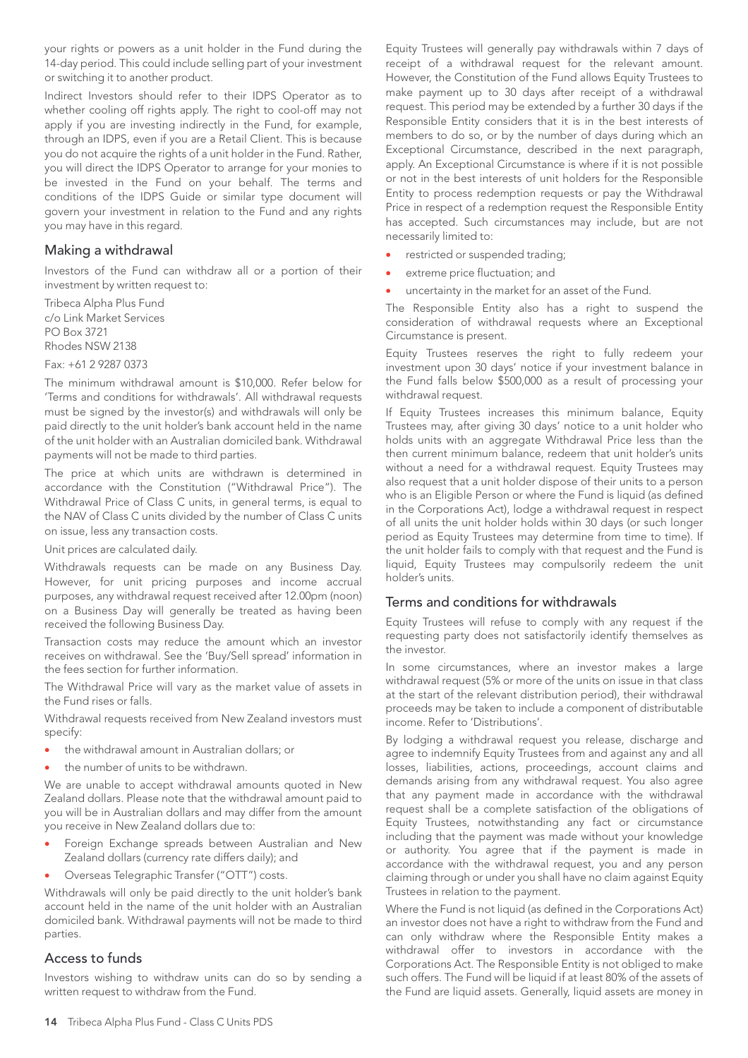your rights or powers as a unit holder in the Fund during the 14-day period. This could include selling part of your investment or switching it to another product.

Indirect Investors should refer to their IDPS Operator as to whether cooling off rights apply. The right to cool-off may not apply if you are investing indirectly in the Fund, for example, through an IDPS, even if you are a Retail Client. This is because you do not acquire the rights of a unit holder in the Fund. Rather, you will direct the IDPS Operator to arrange for your monies to be invested in the Fund on your behalf. The terms and conditions of the IDPS Guide or similar type document will govern your investment in relation to the Fund and any rights you may have in this regard.

### Making a withdrawal

Investors of the Fund can withdraw all or a portion of their investment by written request to:

Tribeca Alpha Plus Fund c/o Link Market Services PO Box 3721 Rhodes NSW 2138

Fax: +61 2 9287 0373

The minimum withdrawal amount is \$10,000. Refer below for 'Terms and conditions for withdrawals'. All withdrawal requests must be signed by the investor(s) and withdrawals will only be paid directly to the unit holder's bank account held in the name of the unit holder with an Australian domiciled bank. Withdrawal payments will not be made to third parties.

The price at which units are withdrawn is determined in accordance with the Constitution ("Withdrawal Price"). The Withdrawal Price of Class C units, in general terms, is equal to the NAV of Class C units divided by the number of Class C units on issue, less any transaction costs.

Unit prices are calculated daily.

Withdrawals requests can be made on any Business Day. However, for unit pricing purposes and income accrual purposes, any withdrawal request received after 12.00pm (noon) on a Business Day will generally be treated as having been received the following Business Day.

Transaction costs may reduce the amount which an investor receives on withdrawal. See the 'Buy/Sell spread' information in the fees section for further information.

The Withdrawal Price will vary as the market value of assets in the Fund rises or falls.

Withdrawal requests received from New Zealand investors must specify:

- the withdrawal amount in Australian dollars; or
- the number of units to be withdrawn.

We are unable to accept withdrawal amounts quoted in New Zealand dollars. Please note that the withdrawal amount paid to you will be in Australian dollars and may differ from the amount you receive in New Zealand dollars due to:

- Foreign Exchange spreads between Australian and New Zealand dollars (currency rate differs daily); and
- Overseas Telegraphic Transfer ("OTT") costs.

Withdrawals will only be paid directly to the unit holder's bank account held in the name of the unit holder with an Australian domiciled bank. Withdrawal payments will not be made to third parties.

## Access to funds

Investors wishing to withdraw units can do so by sending a written request to withdraw from the Fund.

Equity Trustees will generally pay withdrawals within 7 days of receipt of a withdrawal request for the relevant amount. However, the Constitution of the Fund allows Equity Trustees to make payment up to 30 days after receipt of a withdrawal request. This period may be extended by a further 30 days if the Responsible Entity considers that it is in the best interests of members to do so, or by the number of days during which an Exceptional Circumstance, described in the next paragraph, apply. An Exceptional Circumstance is where if it is not possible or not in the best interests of unit holders for the Responsible Entity to process redemption requests or pay the Withdrawal Price in respect of a redemption request the Responsible Entity has accepted. Such circumstances may include, but are not necessarily limited to:

- restricted or suspended trading;
- extreme price fluctuation; and
- uncertainty in the market for an asset of the Fund.

The Responsible Entity also has a right to suspend the consideration of withdrawal requests where an Exceptional Circumstance is present.

Equity Trustees reserves the right to fully redeem your investment upon 30 days' notice if your investment balance in the Fund falls below \$500,000 as a result of processing your withdrawal request.

If Equity Trustees increases this minimum balance, Equity Trustees may, after giving 30 days' notice to a unit holder who holds units with an aggregate Withdrawal Price less than the then current minimum balance, redeem that unit holder's units without a need for a withdrawal request. Equity Trustees may also request that a unit holder dispose of their units to a person who is an Eligible Person or where the Fund is liquid (as defined in the Corporations Act), lodge a withdrawal request in respect of all units the unit holder holds within 30 days (or such longer period as Equity Trustees may determine from time to time). If the unit holder fails to comply with that request and the Fund is liquid, Equity Trustees may compulsorily redeem the unit holder's units.

## Terms and conditions for withdrawals

Equity Trustees will refuse to comply with any request if the requesting party does not satisfactorily identify themselves as the investor.

In some circumstances, where an investor makes a large withdrawal request (5% or more of the units on issue in that class at the start of the relevant distribution period), their withdrawal proceeds may be taken to include a component of distributable income. Refer to 'Distributions'.

By lodging a withdrawal request you release, discharge and agree to indemnify Equity Trustees from and against any and all losses, liabilities, actions, proceedings, account claims and demands arising from any withdrawal request. You also agree that any payment made in accordance with the withdrawal request shall be a complete satisfaction of the obligations of Equity Trustees, notwithstanding any fact or circumstance including that the payment was made without your knowledge or authority. You agree that if the payment is made in accordance with the withdrawal request, you and any person claiming through or under you shall have no claim against Equity Trustees in relation to the payment.

Where the Fund is not liquid (as defined in the Corporations Act) an investor does not have a right to withdraw from the Fund and can only withdraw where the Responsible Entity makes a withdrawal offer to investors in accordance with the Corporations Act. The Responsible Entity is not obliged to make such offers. The Fund will be liquid if at least 80% of the assets of the Fund are liquid assets. Generally, liquid assets are money in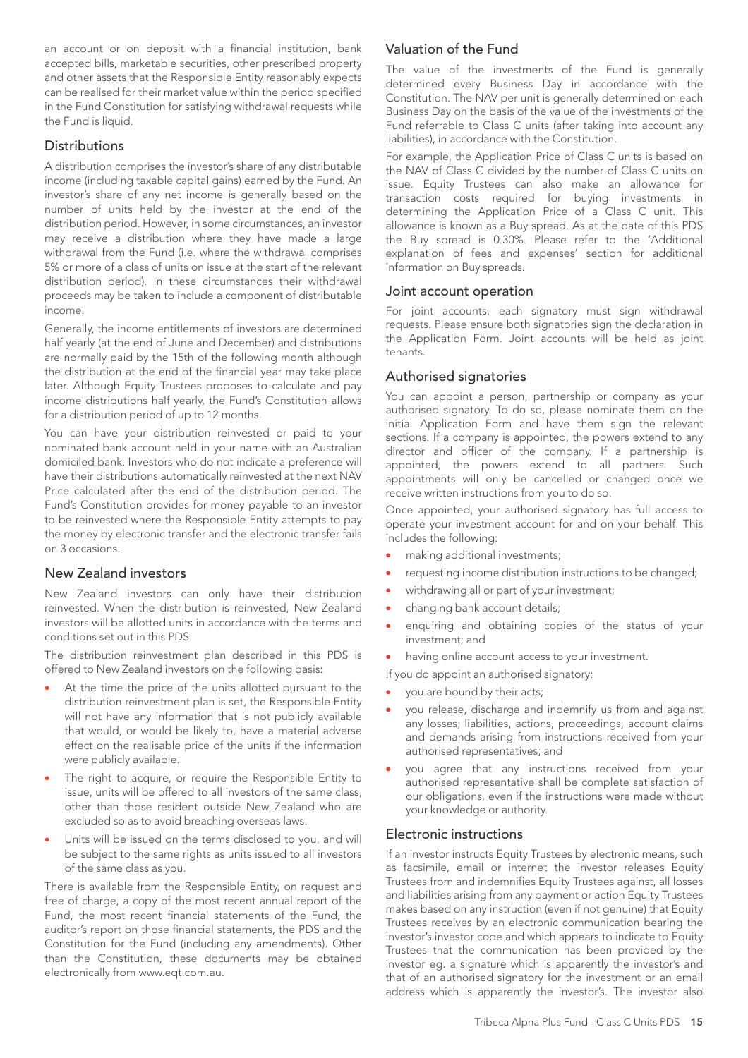an account or on deposit with a financial institution, bank accepted bills, marketable securities, other prescribed property and other assets that the Responsible Entity reasonably expects can be realised for their market value within the period specified in the Fund Constitution for satisfying withdrawal requests while the Fund is liquid.

### **Distributions**

A distribution comprises the investor's share of any distributable income (including taxable capital gains) earned by the Fund. An investor's share of any net income is generally based on the number of units held by the investor at the end of the distribution period. However, in some circumstances, an investor may receive a distribution where they have made a large withdrawal from the Fund (i.e. where the withdrawal comprises 5% or more of a class of units on issue at the start of the relevant distribution period). In these circumstances their withdrawal proceeds may be taken to include a component of distributable income.

Generally, the income entitlements of investors are determined half yearly (at the end of June and December) and distributions are normally paid by the 15th of the following month although the distribution at the end of the financial year may take place later. Although Equity Trustees proposes to calculate and pay income distributions half yearly, the Fund's Constitution allows for a distribution period of up to 12 months.

You can have your distribution reinvested or paid to your nominated bank account held in your name with an Australian domiciled bank. Investors who do not indicate a preference will have their distributions automatically reinvested at the next NAV Price calculated after the end of the distribution period. The Fund's Constitution provides for money payable to an investor to be reinvested where the Responsible Entity attempts to pay the money by electronic transfer and the electronic transfer fails on 3 occasions.

#### New Zealand investors

New Zealand investors can only have their distribution reinvested. When the distribution is reinvested, New Zealand investors will be allotted units in accordance with the terms and conditions set out in this PDS.

The distribution reinvestment plan described in this PDS is offered to New Zealand investors on the following basis:

- At the time the price of the units allotted pursuant to the distribution reinvestment plan is set, the Responsible Entity will not have any information that is not publicly available that would, or would be likely to, have a material adverse effect on the realisable price of the units if the information were publicly available.
- The right to acquire, or require the Responsible Entity to issue, units will be offered to all investors of the same class, other than those resident outside New Zealand who are excluded so as to avoid breaching overseas laws.
- Units will be issued on the terms disclosed to you, and will be subject to the same rights as units issued to all investors of the same class as you.

There is available from the Responsible Entity, on request and free of charge, a copy of the most recent annual report of the Fund, the most recent financial statements of the Fund, the auditor's report on those financial statements, the PDS and the Constitution for the Fund (including any amendments). Other than the Constitution, these documents may be obtained electronically from www.eqt.com.au.

## Valuation of the Fund

The value of the investments of the Fund is generally determined every Business Day in accordance with the Constitution. The NAV per unit is generally determined on each Business Day on the basis of the value of the investments of the Fund referrable to Class C units (after taking into account any liabilities), in accordance with the Constitution.

For example, the Application Price of Class C units is based on the NAV of Class C divided by the number of Class C units on issue. Equity Trustees can also make an allowance for transaction costs required for buying investments in determining the Application Price of a Class C unit. This allowance is known as a Buy spread. As at the date of this PDS the Buy spread is 0.30%. Please refer to the 'Additional explanation of fees and expenses' section for additional information on Buy spreads.

#### Joint account operation

For joint accounts, each signatory must sign withdrawal requests. Please ensure both signatories sign the declaration in the Application Form. Joint accounts will be held as joint tenants.

#### Authorised signatories

You can appoint a person, partnership or company as your authorised signatory. To do so, please nominate them on the initial Application Form and have them sign the relevant sections. If a company is appointed, the powers extend to any director and officer of the company. If a partnership is appointed, the powers extend to all partners. Such appointments will only be cancelled or changed once we receive written instructions from you to do so.

Once appointed, your authorised signatory has full access to operate your investment account for and on your behalf. This includes the following:

- making additional investments;
- requesting income distribution instructions to be changed;
- withdrawing all or part of your investment;
- changing bank account details;
- enquiring and obtaining copies of the status of your investment; and
- having online account access to your investment.

If you do appoint an authorised signatory:

- you are bound by their acts;
- you release, discharge and indemnify us from and against any losses, liabilities, actions, proceedings, account claims and demands arising from instructions received from your authorised representatives; and
- you agree that any instructions received from your authorised representative shall be complete satisfaction of our obligations, even if the instructions were made without your knowledge or authority.

#### Electronic instructions

If an investor instructs Equity Trustees by electronic means, such as facsimile, email or internet the investor releases Equity Trustees from and indemnifies Equity Trustees against, all losses and liabilities arising from any payment or action Equity Trustees makes based on any instruction (even if not genuine) that Equity Trustees receives by an electronic communication bearing the investor's investor code and which appears to indicate to Equity Trustees that the communication has been provided by the investor eg. a signature which is apparently the investor's and that of an authorised signatory for the investment or an email address which is apparently the investor's. The investor also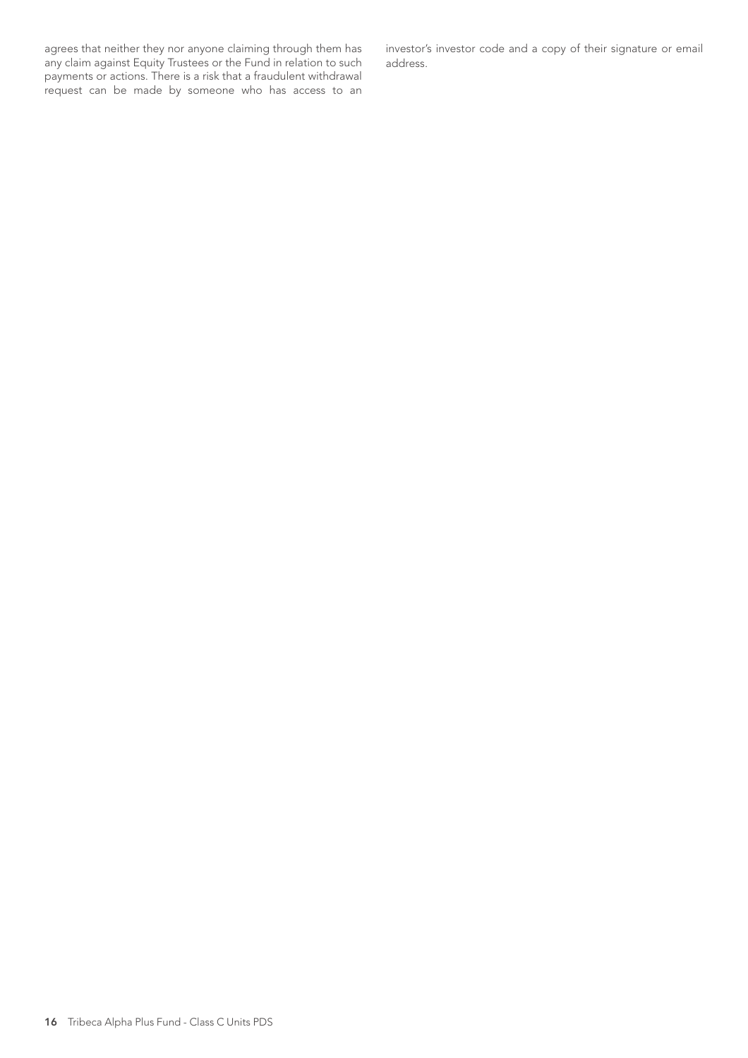agrees that neither they nor anyone claiming through them has any claim against Equity Trustees or the Fund in relation to such payments or actions. There is a risk that a fraudulent withdrawal request can be made by someone who has access to an investor's investor code and a copy of their signature or email address.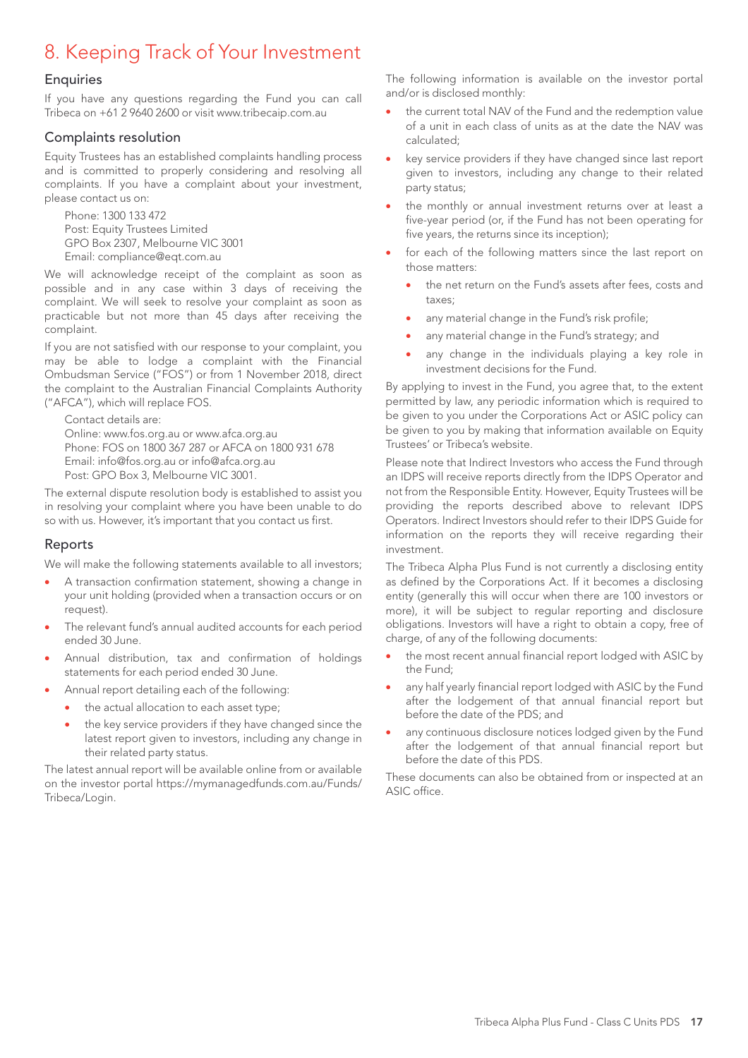## 8. Keeping Track of Your Investment

#### **Enquiries**

If you have any questions regarding the Fund you can call Tribeca on +61 2 9640 2600 or visit www.tribecaip.com.au

### Complaints resolution

Equity Trustees has an established complaints handling process and is committed to properly considering and resolving all complaints. If you have a complaint about your investment, please contact us on:

Phone: 1300 133 472 Post: Equity Trustees Limited GPO Box 2307, Melbourne VIC 3001 Email: compliance@eqt.com.au

We will acknowledge receipt of the complaint as soon as possible and in any case within 3 days of receiving the complaint. We will seek to resolve your complaint as soon as practicable but not more than 45 days after receiving the complaint.

If you are not satisfied with our response to your complaint, you may be able to lodge a complaint with the Financial Ombudsman Service ("FOS") or from 1 November 2018, direct the complaint to the Australian Financial Complaints Authority ("AFCA"), which will replace FOS.

Contact details are: Online: www.fos.org.au or www.afca.org.au Phone: FOS on 1800 367 287 or AFCA on 1800 931 678 Email: info@fos.org.au or info@afca.org.au Post: GPO Box 3, Melbourne VIC 3001.

The external dispute resolution body is established to assist you in resolving your complaint where you have been unable to do so with us. However, it's important that you contact us first.

## Reports

We will make the following statements available to all investors;

- A transaction confirmation statement, showing a change in your unit holding (provided when a transaction occurs or on request).
- The relevant fund's annual audited accounts for each period ended 30 June.
- Annual distribution, tax and confirmation of holdings statements for each period ended 30 June.
- Annual report detailing each of the following:
	- the actual allocation to each asset type;
	- the key service providers if they have changed since the latest report given to investors, including any change in their related party status.

The latest annual report will be available online from or available on the investor portal https://mymanagedfunds.com.au/Funds/ Tribeca/Login.

The following information is available on the investor portal and/or is disclosed monthly:

- the current total NAV of the Fund and the redemption value of a unit in each class of units as at the date the NAV was calculated;
- key service providers if they have changed since last report given to investors, including any change to their related party status;
- the monthly or annual investment returns over at least a five-year period (or, if the Fund has not been operating for five years, the returns since its inception);
- for each of the following matters since the last report on those matters:
	- the net return on the Fund's assets after fees, costs and taxes;
	- any material change in the Fund's risk profile;
	- any material change in the Fund's strategy; and
	- any change in the individuals playing a key role in investment decisions for the Fund.

By applying to invest in the Fund, you agree that, to the extent permitted by law, any periodic information which is required to be given to you under the Corporations Act or ASIC policy can be given to you by making that information available on Equity Trustees' or Tribeca's website.

Please note that Indirect Investors who access the Fund through an IDPS will receive reports directly from the IDPS Operator and not from the Responsible Entity. However, Equity Trustees will be providing the reports described above to relevant IDPS Operators. Indirect Investors should refer to their IDPS Guide for information on the reports they will receive regarding their investment.

The Tribeca Alpha Plus Fund is not currently a disclosing entity as defined by the Corporations Act. If it becomes a disclosing entity (generally this will occur when there are 100 investors or more), it will be subject to regular reporting and disclosure obligations. Investors will have a right to obtain a copy, free of charge, of any of the following documents:

- the most recent annual financial report lodged with ASIC by the Fund;
- any half yearly financial report lodged with ASIC by the Fund after the lodgement of that annual financial report but before the date of the PDS; and
- any continuous disclosure notices lodged given by the Fund after the lodgement of that annual financial report but before the date of this PDS.

These documents can also be obtained from or inspected at an ASIC office.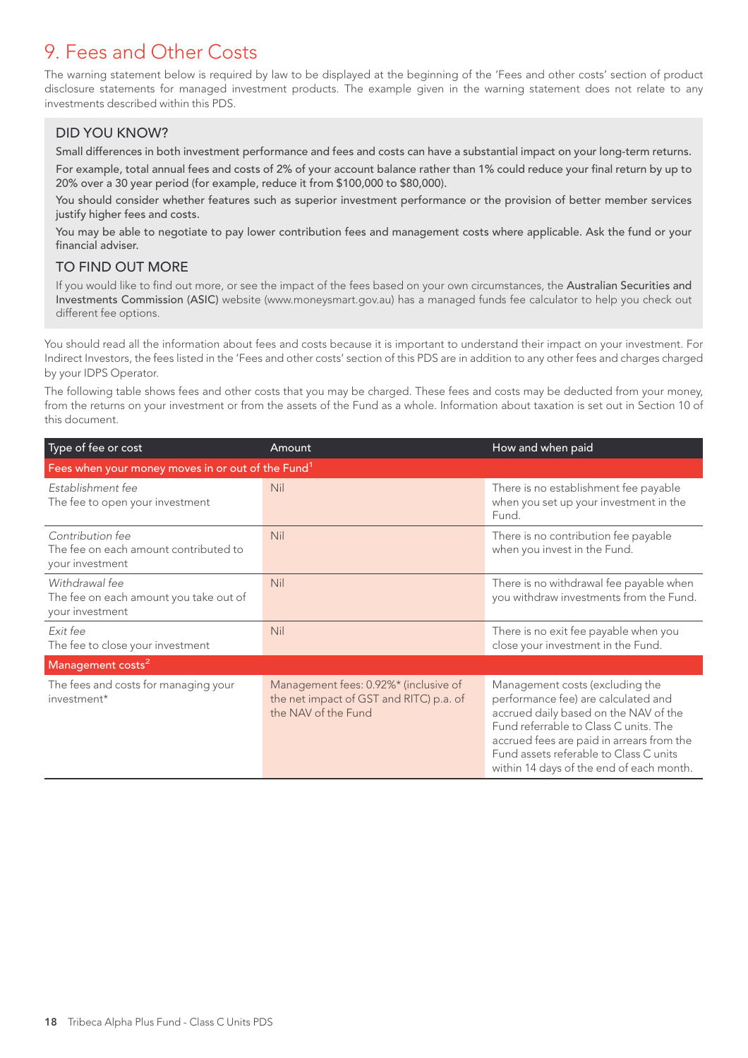## 9. Fees and Other Costs

The warning statement below is required by law to be displayed at the beginning of the 'Fees and other costs' section of product disclosure statements for managed investment products. The example given in the warning statement does not relate to any investments described within this PDS.

## DID YOU KNOW?

Small differences in both investment performance and fees and costs can have a substantial impact on your long-term returns. For example, total annual fees and costs of 2% of your account balance rather than 1% could reduce your final return by up to 20% over a 30 year period (for example, reduce it from \$100,000 to \$80,000).

You should consider whether features such as superior investment performance or the provision of better member services justify higher fees and costs.

You may be able to negotiate to pay lower contribution fees and management costs where applicable. Ask the fund or your financial adviser.

## TO FIND OUT MORE

If you would like to find out more, or see the impact of the fees based on your own circumstances, the Australian Securities and Investments Commission (ASIC) website (www.moneysmart.gov.au) has a managed funds fee calculator to help you check out different fee options.

You should read all the information about fees and costs because it is important to understand their impact on your investment. For Indirect Investors, the fees listed in the 'Fees and other costs' section of this PDS are in addition to any other fees and charges charged by your IDPS Operator.

The following table shows fees and other costs that you may be charged. These fees and costs may be deducted from your money, from the returns on your investment or from the assets of the Fund as a whole. Information about taxation is set out in Section 10 of this document.

| Type of fee or cost                                                          | Amount                                                                                                  | How and when paid                                                                                                                                                                                                                                                                           |
|------------------------------------------------------------------------------|---------------------------------------------------------------------------------------------------------|---------------------------------------------------------------------------------------------------------------------------------------------------------------------------------------------------------------------------------------------------------------------------------------------|
| Fees when your money moves in or out of the Fund <sup>1</sup>                |                                                                                                         |                                                                                                                                                                                                                                                                                             |
| Establishment fee<br>The fee to open your investment                         | <b>Nil</b>                                                                                              | There is no establishment fee payable<br>when you set up your investment in the<br>Fund.                                                                                                                                                                                                    |
| Contribution fee<br>The fee on each amount contributed to<br>your investment | Nil                                                                                                     | There is no contribution fee payable<br>when you invest in the Fund.                                                                                                                                                                                                                        |
| Withdrawal fee<br>The fee on each amount you take out of<br>your investment  | Nil                                                                                                     | There is no withdrawal fee payable when<br>you withdraw investments from the Fund.                                                                                                                                                                                                          |
| Exit fee<br>The fee to close your investment                                 | Nil                                                                                                     | There is no exit fee payable when you<br>close your investment in the Fund.                                                                                                                                                                                                                 |
| Management costs <sup>2</sup>                                                |                                                                                                         |                                                                                                                                                                                                                                                                                             |
| The fees and costs for managing your<br>investment*                          | Management fees: 0.92%* (inclusive of<br>the net impact of GST and RITC) p.a. of<br>the NAV of the Fund | Management costs (excluding the<br>performance fee) are calculated and<br>accrued daily based on the NAV of the<br>Fund referrable to Class C units. The<br>accrued fees are paid in arrears from the<br>Fund assets referable to Class C units<br>within 14 days of the end of each month. |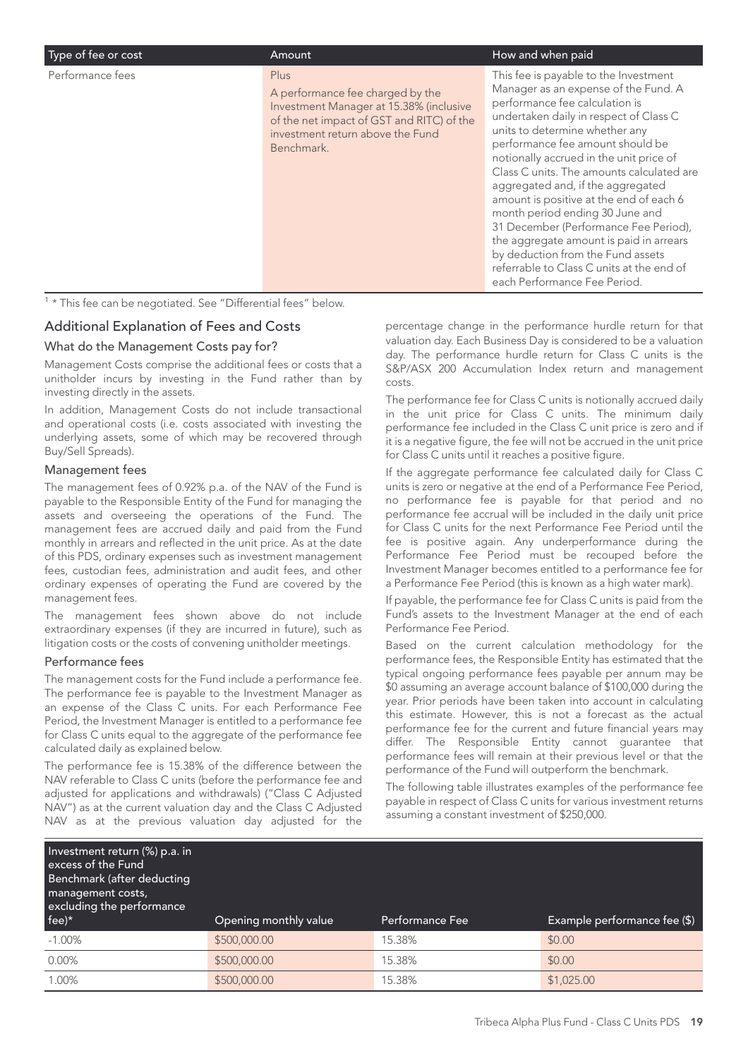| Type of fee or cost | Amount                                                                                                                                                                             | How and when paid                                                                                                                                                                                                                                                                                                                                                                                                                                                                                                                                                                                                                                |
|---------------------|------------------------------------------------------------------------------------------------------------------------------------------------------------------------------------|--------------------------------------------------------------------------------------------------------------------------------------------------------------------------------------------------------------------------------------------------------------------------------------------------------------------------------------------------------------------------------------------------------------------------------------------------------------------------------------------------------------------------------------------------------------------------------------------------------------------------------------------------|
| Performance fees    | Plus<br>A performance fee charged by the<br>Investment Manager at 15.38% (inclusive<br>of the net impact of GST and RITC) of the<br>investment return above the Fund<br>Benchmark. | This fee is payable to the Investment<br>Manager as an expense of the Fund. A<br>performance fee calculation is<br>undertaken daily in respect of Class C<br>units to determine whether any<br>performance fee amount should be<br>notionally accrued in the unit price of<br>Class C units. The amounts calculated are<br>aggregated and, if the aggregated<br>amount is positive at the end of each 6<br>month period ending 30 June and<br>31 December (Performance Fee Period),<br>the aggregate amount is paid in arrears<br>by deduction from the Fund assets<br>referrable to Class C units at the end of<br>each Performance Fee Period. |
|                     |                                                                                                                                                                                    |                                                                                                                                                                                                                                                                                                                                                                                                                                                                                                                                                                                                                                                  |

<sup>1</sup> \* This fee can be negotiated. See "Differential fees" below.

#### Additional Explanation of Fees and Costs

#### What do the Management Costs pay for?

Management Costs comprise the additional fees or costs that a unitholder incurs by investing in the Fund rather than by investing directly in the assets.

In addition, Management Costs do not include transactional and operational costs (i.e. costs associated with investing the underlying assets, some of which may be recovered through Buy/Sell Spreads).

#### Management fees

The management fees of 0.92% p.a. of the NAV of the Fund is payable to the Responsible Entity of the Fund for managing the assets and overseeing the operations of the Fund. The management fees are accrued daily and paid from the Fund monthly in arrears and reflected in the unit price. As at the date of this PDS, ordinary expenses such as investment management fees, custodian fees, administration and audit fees, and other ordinary expenses of operating the Fund are covered by the management fees.

The management fees shown above do not include extraordinary expenses (if they are incurred in future), such as litigation costs or the costs of convening unitholder meetings.

#### Performance fees

The management costs for the Fund include a performance fee. The performance fee is payable to the Investment Manager as an expense of the Class C units. For each Performance Fee Period, the Investment Manager is entitled to a performance fee for Class C units equal to the aggregate of the performance fee calculated daily as explained below.

The performance fee is 15.38% of the difference between the NAV referable to Class C units (before the performance fee and adjusted for applications and withdrawals) ("Class C Adjusted NAV") as at the current valuation day and the Class C Adjusted NAV as at the previous valuation day adjusted for the

percentage change in the performance hurdle return for that valuation day. Each Business Day is considered to be a valuation day. The performance hurdle return for Class C units is the S&P/ASX 200 Accumulation Index return and management costs.

The performance fee for Class C units is notionally accrued daily in the unit price for Class C units. The minimum daily performance fee included in the Class C unit price is zero and if it is a negative figure, the fee will not be accrued in the unit price for Class C units until it reaches a positive figure.

If the aggregate performance fee calculated daily for Class C units is zero or negative at the end of a Performance Fee Period, no performance fee is payable for that period and no performance fee accrual will be included in the daily unit price for Class C units for the next Performance Fee Period until the fee is positive again. Any underperformance during the Performance Fee Period must be recouped before the Investment Manager becomes entitled to a performance fee for a Performance Fee Period (this is known as a high water mark).

If payable, the performance fee for Class C units is paid from the Fund's assets to the Investment Manager at the end of each Performance Fee Period.

Based on the current calculation methodology for the performance fees, the Responsible Entity has estimated that the typical ongoing performance fees payable per annum may be \$0 assuming an average account balance of \$100,000 during the year. Prior periods have been taken into account in calculating this estimate. However, this is not a forecast as the actual performance fee for the current and future financial years may differ. The Responsible Entity cannot guarantee that performance fees will remain at their previous level or that the performance of the Fund will outperform the benchmark.

The following table illustrates examples of the performance fee payable in respect of Class C units for various investment returns assuming a constant investment of \$250,000.

| Investment return (%) p.a. in<br>excess of the Fund<br>Benchmark (after deducting<br>management costs,<br>excluding the performance<br>$fee)^*$ | Opening monthly value | <b>Performance Fee</b> | Example performance fee (\$) |
|-------------------------------------------------------------------------------------------------------------------------------------------------|-----------------------|------------------------|------------------------------|
| $-1.00\%$                                                                                                                                       | \$500,000.00          | 15.38%                 | \$0.00                       |
| $0.00\%$                                                                                                                                        | \$500,000.00          | 15.38%                 | \$0.00                       |
| 1.00%                                                                                                                                           | \$500,000.00          | 15.38%                 | \$1,025.00                   |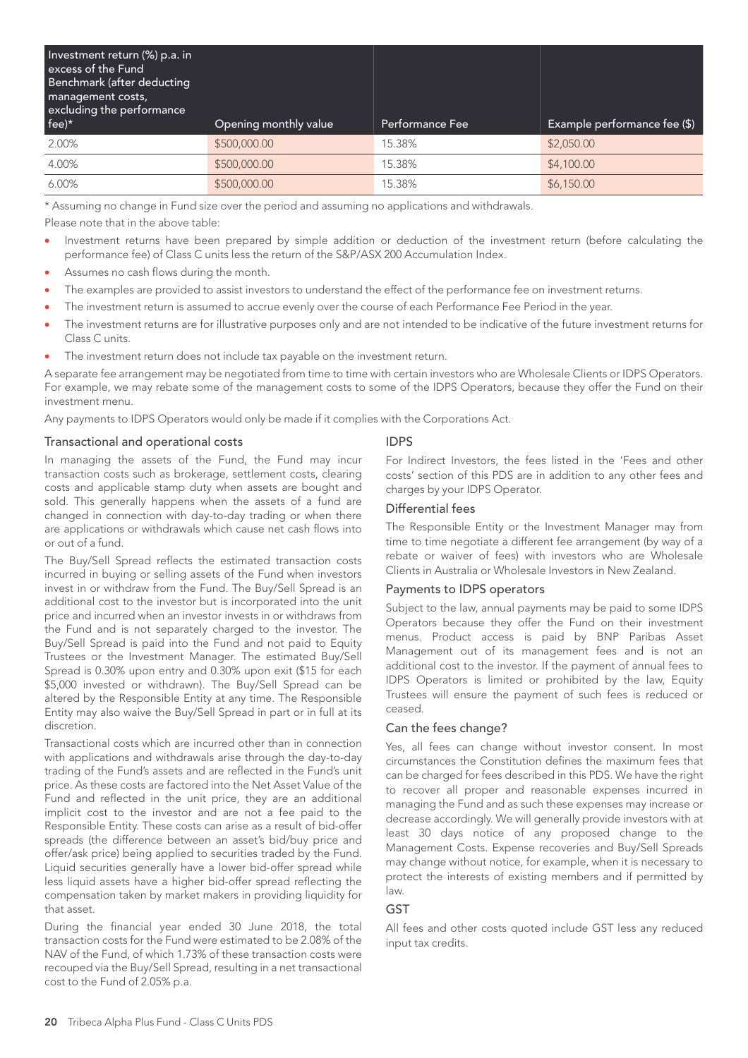| Investment return (%) p.a. in<br>excess of the Fund<br>Benchmark (after deducting<br>management costs,<br>excluding the performance |                       |                 |                              |
|-------------------------------------------------------------------------------------------------------------------------------------|-----------------------|-----------------|------------------------------|
| fee)*                                                                                                                               | Opening monthly value | Performance Fee | Example performance fee (\$) |
| 2.00%                                                                                                                               | \$500,000.00          | 15.38%          | \$2,050.00                   |
| 4.00%                                                                                                                               | \$500,000.00          | 15.38%          | \$4,100.00                   |
| $6.00\%$                                                                                                                            | \$500,000.00          | 15.38%          | \$6,150.00                   |

\* Assuming no change in Fund size over the period and assuming no applications and withdrawals.

Please note that in the above table:

- Investment returns have been prepared by simple addition or deduction of the investment return (before calculating the performance fee) of Class C units less the return of the S&P/ASX 200 Accumulation Index.
- Assumes no cash flows during the month.
- The examples are provided to assist investors to understand the effect of the performance fee on investment returns.
- The investment return is assumed to accrue evenly over the course of each Performance Fee Period in the year.
- The investment returns are for illustrative purposes only and are not intended to be indicative of the future investment returns for Class C units.
- The investment return does not include tax payable on the investment return.

A separate fee arrangement may be negotiated from time to time with certain investors who are Wholesale Clients or IDPS Operators. For example, we may rebate some of the management costs to some of the IDPS Operators, because they offer the Fund on their investment menu.

Any payments to IDPS Operators would only be made if it complies with the Corporations Act.

#### Transactional and operational costs

In managing the assets of the Fund, the Fund may incur transaction costs such as brokerage, settlement costs, clearing costs and applicable stamp duty when assets are bought and sold. This generally happens when the assets of a fund are changed in connection with day-to-day trading or when there are applications or withdrawals which cause net cash flows into or out of a fund.

The Buy/Sell Spread reflects the estimated transaction costs incurred in buying or selling assets of the Fund when investors invest in or withdraw from the Fund. The Buy/Sell Spread is an additional cost to the investor but is incorporated into the unit price and incurred when an investor invests in or withdraws from the Fund and is not separately charged to the investor. The Buy/Sell Spread is paid into the Fund and not paid to Equity Trustees or the Investment Manager. The estimated Buy/Sell Spread is 0.30% upon entry and 0.30% upon exit (\$15 for each \$5,000 invested or withdrawn). The Buy/Sell Spread can be altered by the Responsible Entity at any time. The Responsible Entity may also waive the Buy/Sell Spread in part or in full at its discretion.

Transactional costs which are incurred other than in connection with applications and withdrawals arise through the day-to-day trading of the Fund's assets and are reflected in the Fund's unit price. As these costs are factored into the Net Asset Value of the Fund and reflected in the unit price, they are an additional implicit cost to the investor and are not a fee paid to the Responsible Entity. These costs can arise as a result of bid-offer spreads (the difference between an asset's bid/buy price and offer/ask price) being applied to securities traded by the Fund. Liquid securities generally have a lower bid-offer spread while less liquid assets have a higher bid-offer spread reflecting the compensation taken by market makers in providing liquidity for that asset.

During the financial year ended 30 June 2018, the total transaction costs for the Fund were estimated to be 2.08% of the NAV of the Fund, of which 1.73% of these transaction costs were recouped via the Buy/Sell Spread, resulting in a net transactional cost to the Fund of 2.05% p.a.

#### IDPS

For Indirect Investors, the fees listed in the 'Fees and other costs' section of this PDS are in addition to any other fees and charges by your IDPS Operator.

#### Differential fees

The Responsible Entity or the Investment Manager may from time to time negotiate a different fee arrangement (by way of a rebate or waiver of fees) with investors who are Wholesale Clients in Australia or Wholesale Investors in New Zealand.

#### Payments to IDPS operators

Subject to the law, annual payments may be paid to some IDPS Operators because they offer the Fund on their investment menus. Product access is paid by BNP Paribas Asset Management out of its management fees and is not an additional cost to the investor. If the payment of annual fees to IDPS Operators is limited or prohibited by the law, Equity Trustees will ensure the payment of such fees is reduced or ceased.

#### Can the fees change?

Yes, all fees can change without investor consent. In most circumstances the Constitution defines the maximum fees that can be charged for fees described in this PDS. We have the right to recover all proper and reasonable expenses incurred in managing the Fund and as such these expenses may increase or decrease accordingly. We will generally provide investors with at least 30 days notice of any proposed change to the Management Costs. Expense recoveries and Buy/Sell Spreads may change without notice, for example, when it is necessary to protect the interests of existing members and if permitted by law.

#### **GST**

All fees and other costs quoted include GST less any reduced input tax credits.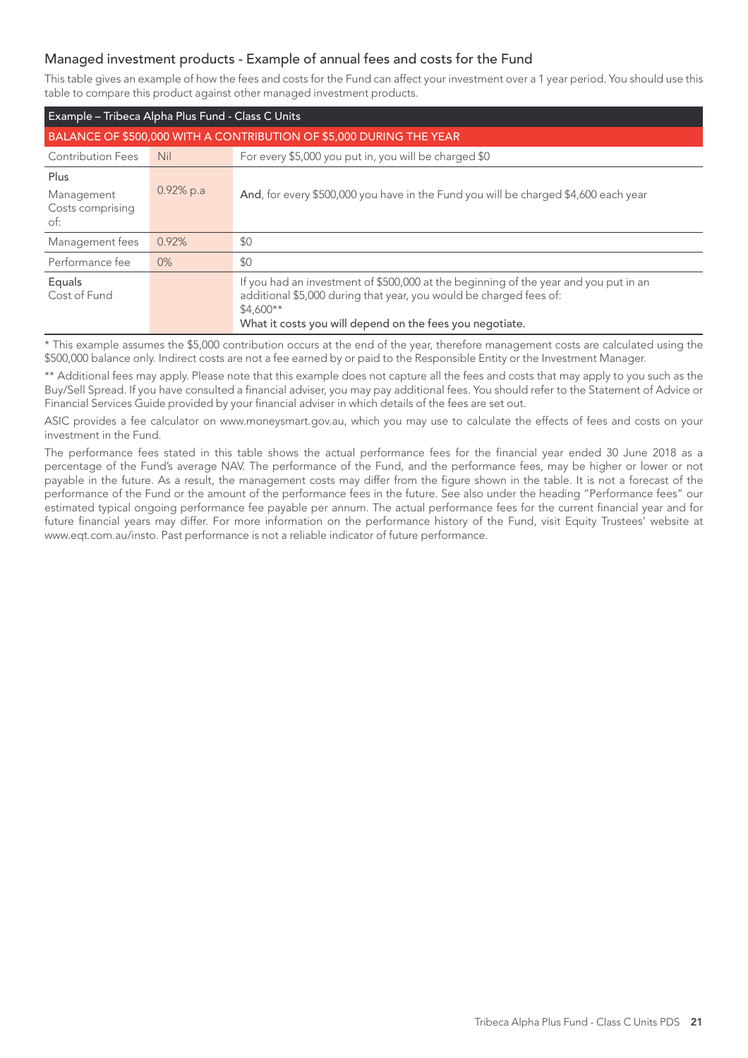## Managed investment products - Example of annual fees and costs for the Fund

This table gives an example of how the fees and costs for the Fund can affect your investment over a 1 year period. You should use this table to compare this product against other managed investment products.

| Example - Tribeca Alpha Plus Fund - Class C Units                   |              |                                                                                                                                                                                                                                      |  |  |
|---------------------------------------------------------------------|--------------|--------------------------------------------------------------------------------------------------------------------------------------------------------------------------------------------------------------------------------------|--|--|
| BALANCE OF \$500,000 WITH A CONTRIBUTION OF \$5,000 DURING THE YEAR |              |                                                                                                                                                                                                                                      |  |  |
| <b>Contribution Fees</b>                                            | <b>Nil</b>   | For every \$5,000 you put in, you will be charged \$0                                                                                                                                                                                |  |  |
| Plus<br>Management<br>Costs comprising<br>of:                       | $0.92\%$ p.a | And, for every \$500,000 you have in the Fund you will be charged \$4,600 each year                                                                                                                                                  |  |  |
| Management fees                                                     | 0.92%        | \$0                                                                                                                                                                                                                                  |  |  |
| Performance fee                                                     | $0\%$        | \$0                                                                                                                                                                                                                                  |  |  |
| Equals<br>Cost of Fund                                              |              | If you had an investment of \$500,000 at the beginning of the year and you put in an<br>additional \$5,000 during that year, you would be charged fees of:<br>$$4.600**$<br>What it costs you will depend on the fees you negotiate. |  |  |

This example assumes the \$5,000 contribution occurs at the end of the year, therefore management costs are calculated using the \$500,000 balance only. Indirect costs are not a fee earned by or paid to the Responsible Entity or the Investment Manager.

\*\* Additional fees may apply. Please note that this example does not capture all the fees and costs that may apply to you such as the Buy/Sell Spread. If you have consulted a financial adviser, you may pay additional fees. You should refer to the Statement of Advice or Financial Services Guide provided by your financial adviser in which details of the fees are set out.

ASIC provides a fee calculator on www.moneysmart.gov.au, which you may use to calculate the effects of fees and costs on your investment in the Fund.

The performance fees stated in this table shows the actual performance fees for the financial year ended 30 June 2018 as a percentage of the Fund's average NAV. The performance of the Fund, and the performance fees, may be higher or lower or not payable in the future. As a result, the management costs may differ from the figure shown in the table. It is not a forecast of the performance of the Fund or the amount of the performance fees in the future. See also under the heading "Performance fees" our estimated typical ongoing performance fee payable per annum. The actual performance fees for the current financial year and for future financial years may differ. For more information on the performance history of the Fund, visit Equity Trustees' website at www.eqt.com.au/insto. Past performance is not a reliable indicator of future performance.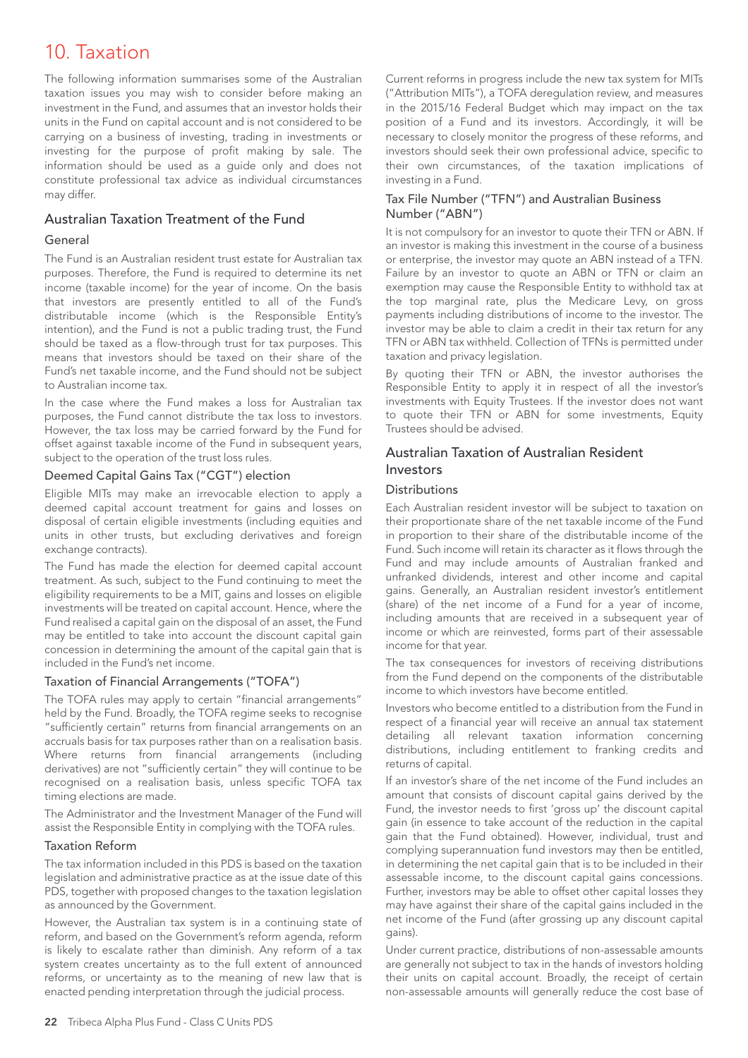## 10. Taxation

The following information summarises some of the Australian taxation issues you may wish to consider before making an investment in the Fund, and assumes that an investor holds their units in the Fund on capital account and is not considered to be carrying on a business of investing, trading in investments or investing for the purpose of profit making by sale. The information should be used as a guide only and does not constitute professional tax advice as individual circumstances may differ.

## Australian Taxation Treatment of the Fund

#### General

The Fund is an Australian resident trust estate for Australian tax purposes. Therefore, the Fund is required to determine its net income (taxable income) for the year of income. On the basis that investors are presently entitled to all of the Fund's distributable income (which is the Responsible Entity's intention), and the Fund is not a public trading trust, the Fund should be taxed as a flow-through trust for tax purposes. This means that investors should be taxed on their share of the Fund's net taxable income, and the Fund should not be subject to Australian income tax.

In the case where the Fund makes a loss for Australian tax purposes, the Fund cannot distribute the tax loss to investors. However, the tax loss may be carried forward by the Fund for offset against taxable income of the Fund in subsequent years, subject to the operation of the trust loss rules.

#### Deemed Capital Gains Tax ("CGT") election

Eligible MITs may make an irrevocable election to apply a deemed capital account treatment for gains and losses on disposal of certain eligible investments (including equities and units in other trusts, but excluding derivatives and foreign exchange contracts).

The Fund has made the election for deemed capital account treatment. As such, subject to the Fund continuing to meet the eligibility requirements to be a MIT, gains and losses on eligible investments will be treated on capital account. Hence, where the Fund realised a capital gain on the disposal of an asset, the Fund may be entitled to take into account the discount capital gain concession in determining the amount of the capital gain that is included in the Fund's net income.

#### Taxation of Financial Arrangements ("TOFA")

The TOFA rules may apply to certain "financial arrangements" held by the Fund. Broadly, the TOFA regime seeks to recognise "sufficiently certain" returns from financial arrangements on an accruals basis for tax purposes rather than on a realisation basis. Where returns from financial arrangements (including derivatives) are not "sufficiently certain" they will continue to be recognised on a realisation basis, unless specific TOFA tax timing elections are made.

The Administrator and the Investment Manager of the Fund will assist the Responsible Entity in complying with the TOFA rules.

#### Taxation Reform

The tax information included in this PDS is based on the taxation legislation and administrative practice as at the issue date of this PDS, together with proposed changes to the taxation legislation as announced by the Government.

However, the Australian tax system is in a continuing state of reform, and based on the Government's reform agenda, reform is likely to escalate rather than diminish. Any reform of a tax system creates uncertainty as to the full extent of announced reforms, or uncertainty as to the meaning of new law that is enacted pending interpretation through the judicial process.

Current reforms in progress include the new tax system for MITs ("Attribution MITs"), a TOFA deregulation review, and measures in the 2015/16 Federal Budget which may impact on the tax position of a Fund and its investors. Accordingly, it will be necessary to closely monitor the progress of these reforms, and investors should seek their own professional advice, specific to their own circumstances, of the taxation implications of investing in a Fund.

#### Tax File Number ("TFN") and Australian Business Number ("ABN")

It is not compulsory for an investor to quote their TFN or ABN. If an investor is making this investment in the course of a business or enterprise, the investor may quote an ABN instead of a TFN. Failure by an investor to quote an ABN or TFN or claim an exemption may cause the Responsible Entity to withhold tax at the top marginal rate, plus the Medicare Levy, on gross payments including distributions of income to the investor. The investor may be able to claim a credit in their tax return for any TFN or ABN tax withheld. Collection of TFNs is permitted under taxation and privacy legislation.

By quoting their TFN or ABN, the investor authorises the Responsible Entity to apply it in respect of all the investor's investments with Equity Trustees. If the investor does not want to quote their TFN or ABN for some investments, Equity Trustees should be advised.

### Australian Taxation of Australian Resident Investors

#### Distributions

Each Australian resident investor will be subject to taxation on their proportionate share of the net taxable income of the Fund in proportion to their share of the distributable income of the Fund. Such income will retain its character as it flows through the Fund and may include amounts of Australian franked and unfranked dividends, interest and other income and capital gains. Generally, an Australian resident investor's entitlement (share) of the net income of a Fund for a year of income, including amounts that are received in a subsequent year of income or which are reinvested, forms part of their assessable income for that year.

The tax consequences for investors of receiving distributions from the Fund depend on the components of the distributable income to which investors have become entitled.

Investors who become entitled to a distribution from the Fund in respect of a financial year will receive an annual tax statement detailing all relevant taxation information concerning distributions, including entitlement to franking credits and returns of capital.

If an investor's share of the net income of the Fund includes an amount that consists of discount capital gains derived by the Fund, the investor needs to first 'gross up' the discount capital gain (in essence to take account of the reduction in the capital gain that the Fund obtained). However, individual, trust and complying superannuation fund investors may then be entitled, in determining the net capital gain that is to be included in their assessable income, to the discount capital gains concessions. Further, investors may be able to offset other capital losses they may have against their share of the capital gains included in the net income of the Fund (after grossing up any discount capital gains).

Under current practice, distributions of non-assessable amounts are generally not subject to tax in the hands of investors holding their units on capital account. Broadly, the receipt of certain non-assessable amounts will generally reduce the cost base of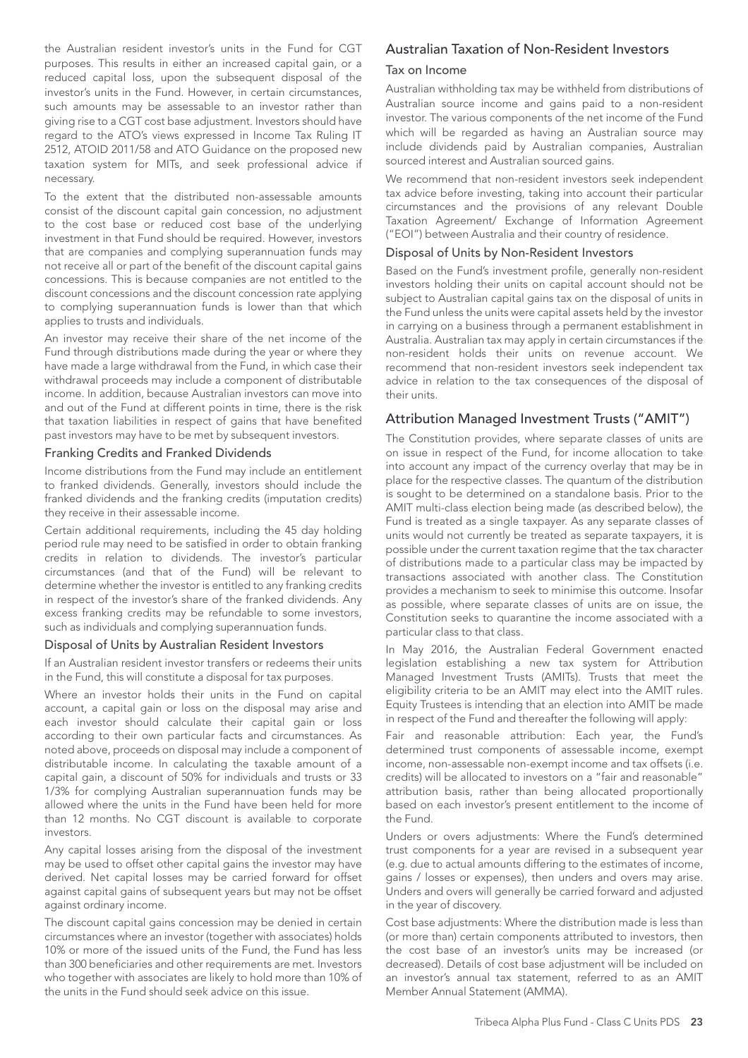the Australian resident investor's units in the Fund for CGT purposes. This results in either an increased capital gain, or a reduced capital loss, upon the subsequent disposal of the investor's units in the Fund. However, in certain circumstances, such amounts may be assessable to an investor rather than giving rise to a CGT cost base adjustment. Investors should have regard to the ATO's views expressed in Income Tax Ruling IT 2512, ATOID 2011/58 and ATO Guidance on the proposed new taxation system for MITs, and seek professional advice if necessary.

To the extent that the distributed non-assessable amounts consist of the discount capital gain concession, no adjustment to the cost base or reduced cost base of the underlying investment in that Fund should be required. However, investors that are companies and complying superannuation funds may not receive all or part of the benefit of the discount capital gains concessions. This is because companies are not entitled to the discount concessions and the discount concession rate applying to complying superannuation funds is lower than that which applies to trusts and individuals.

An investor may receive their share of the net income of the Fund through distributions made during the year or where they have made a large withdrawal from the Fund, in which case their withdrawal proceeds may include a component of distributable income. In addition, because Australian investors can move into and out of the Fund at different points in time, there is the risk that taxation liabilities in respect of gains that have benefited past investors may have to be met by subsequent investors.

#### Franking Credits and Franked Dividends

Income distributions from the Fund may include an entitlement to franked dividends. Generally, investors should include the franked dividends and the franking credits (imputation credits) they receive in their assessable income.

Certain additional requirements, including the 45 day holding period rule may need to be satisfied in order to obtain franking credits in relation to dividends. The investor's particular circumstances (and that of the Fund) will be relevant to determine whether the investor is entitled to any franking credits in respect of the investor's share of the franked dividends. Any excess franking credits may be refundable to some investors, such as individuals and complying superannuation funds.

#### Disposal of Units by Australian Resident Investors

If an Australian resident investor transfers or redeems their units in the Fund, this will constitute a disposal for tax purposes.

Where an investor holds their units in the Fund on capital account, a capital gain or loss on the disposal may arise and each investor should calculate their capital gain or loss according to their own particular facts and circumstances. As noted above, proceeds on disposal may include a component of distributable income. In calculating the taxable amount of a capital gain, a discount of 50% for individuals and trusts or 33 1/3% for complying Australian superannuation funds may be allowed where the units in the Fund have been held for more than 12 months. No CGT discount is available to corporate investors.

Any capital losses arising from the disposal of the investment may be used to offset other capital gains the investor may have derived. Net capital losses may be carried forward for offset against capital gains of subsequent years but may not be offset against ordinary income.

The discount capital gains concession may be denied in certain circumstances where an investor (together with associates) holds 10% or more of the issued units of the Fund, the Fund has less than 300 beneficiaries and other requirements are met. Investors who together with associates are likely to hold more than 10% of the units in the Fund should seek advice on this issue.

#### Australian Taxation of Non-Resident Investors

#### Tax on Income

Australian withholding tax may be withheld from distributions of Australian source income and gains paid to a non-resident investor. The various components of the net income of the Fund which will be regarded as having an Australian source may include dividends paid by Australian companies, Australian sourced interest and Australian sourced gains.

We recommend that non-resident investors seek independent tax advice before investing, taking into account their particular circumstances and the provisions of any relevant Double Taxation Agreement/ Exchange of Information Agreement ("EOI") between Australia and their country of residence.

#### Disposal of Units by Non-Resident Investors

Based on the Fund's investment profile, generally non-resident investors holding their units on capital account should not be subject to Australian capital gains tax on the disposal of units in the Fund unless the units were capital assets held by the investor in carrying on a business through a permanent establishment in Australia. Australian tax may apply in certain circumstances if the non-resident holds their units on revenue account. We recommend that non-resident investors seek independent tax advice in relation to the tax consequences of the disposal of their units.

#### Attribution Managed Investment Trusts ("AMIT")

The Constitution provides, where separate classes of units are on issue in respect of the Fund, for income allocation to take into account any impact of the currency overlay that may be in place for the respective classes. The quantum of the distribution is sought to be determined on a standalone basis. Prior to the AMIT multi-class election being made (as described below), the Fund is treated as a single taxpayer. As any separate classes of units would not currently be treated as separate taxpayers, it is possible under the current taxation regime that the tax character of distributions made to a particular class may be impacted by transactions associated with another class. The Constitution provides a mechanism to seek to minimise this outcome. Insofar as possible, where separate classes of units are on issue, the Constitution seeks to quarantine the income associated with a particular class to that class.

In May 2016, the Australian Federal Government enacted legislation establishing a new tax system for Attribution Managed Investment Trusts (AMITs). Trusts that meet the eligibility criteria to be an AMIT may elect into the AMIT rules. Equity Trustees is intending that an election into AMIT be made in respect of the Fund and thereafter the following will apply:

Fair and reasonable attribution: Each year, the Fund's determined trust components of assessable income, exempt income, non-assessable non-exempt income and tax offsets (i.e. credits) will be allocated to investors on a "fair and reasonable" attribution basis, rather than being allocated proportionally based on each investor's present entitlement to the income of the Fund.

Unders or overs adjustments: Where the Fund's determined trust components for a year are revised in a subsequent year (e.g. due to actual amounts differing to the estimates of income, gains / losses or expenses), then unders and overs may arise. Unders and overs will generally be carried forward and adjusted in the year of discovery.

Cost base adjustments: Where the distribution made is less than (or more than) certain components attributed to investors, then the cost base of an investor's units may be increased (or decreased). Details of cost base adjustment will be included on an investor's annual tax statement, referred to as an AMIT Member Annual Statement (AMMA).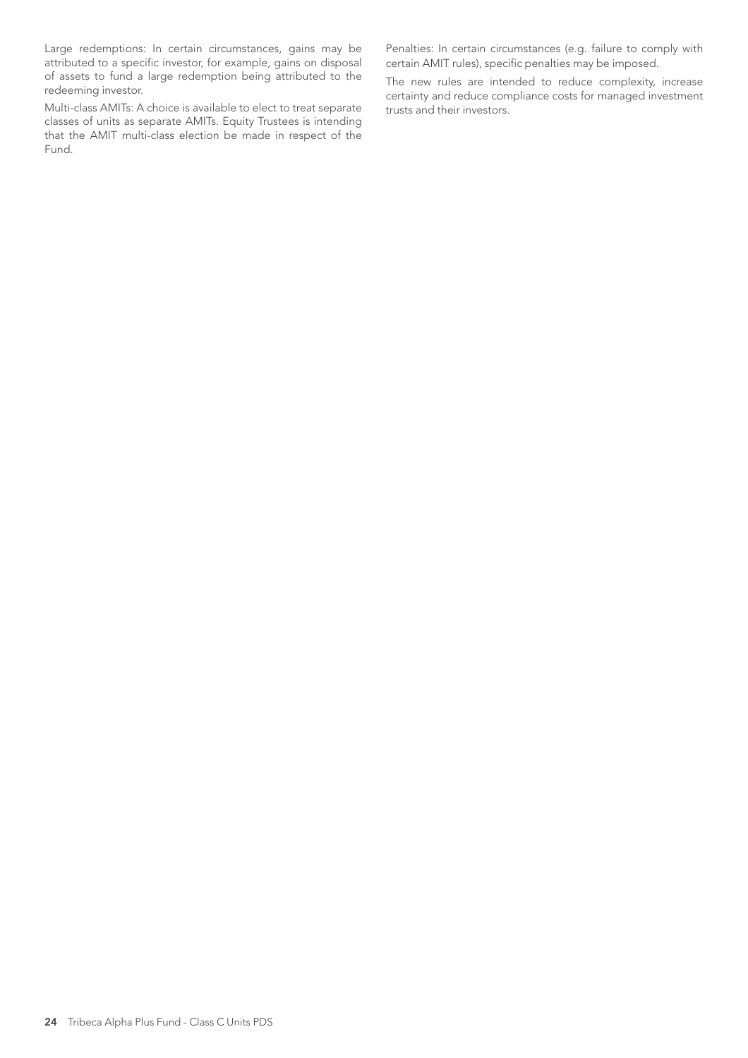Large redemptions: In certain circumstances, gains may be attributed to a specific investor, for example, gains on disposal of assets to fund a large redemption being attributed to the redeeming investor.

Multi-class AMITs: A choice is available to elect to treat separate classes of units as separate AMITs. Equity Trustees is intending that the AMIT multi-class election be made in respect of the Fund.

Penalties: In certain circumstances (e.g. failure to comply with certain AMIT rules), specific penalties may be imposed.

The new rules are intended to reduce complexity, increase certainty and reduce compliance costs for managed investment trusts and their investors.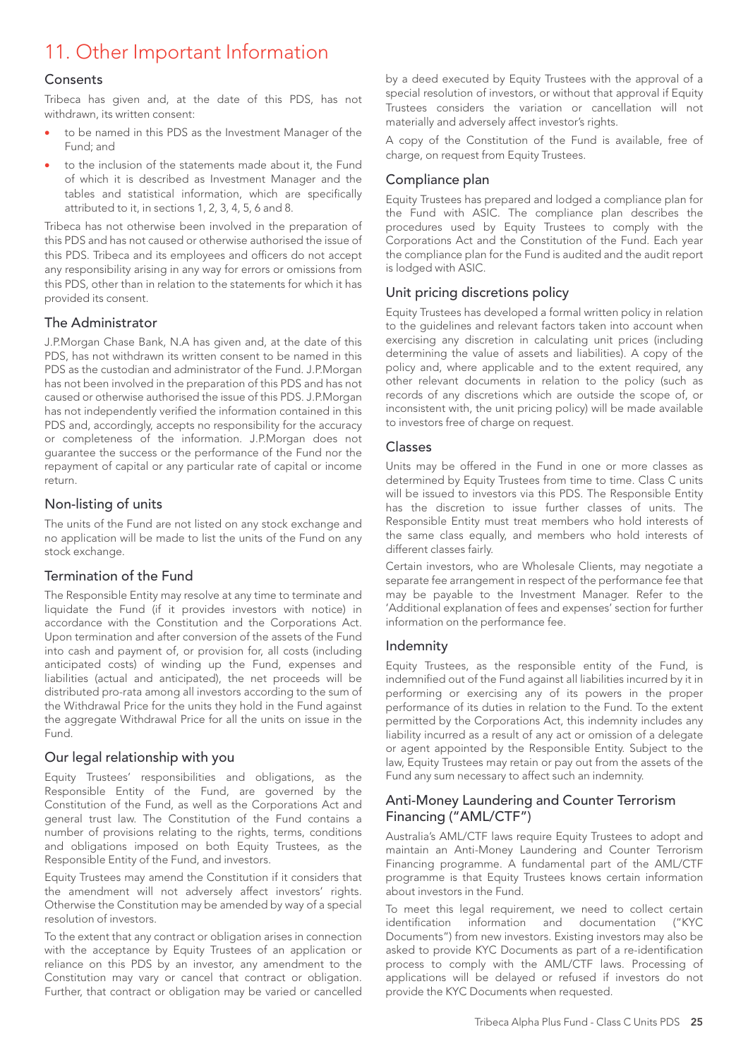## 11. Other Important Information

### Consents

Tribeca has given and, at the date of this PDS, has not withdrawn, its written consent:

- to be named in this PDS as the Investment Manager of the Fund; and
- to the inclusion of the statements made about it, the Fund of which it is described as Investment Manager and the tables and statistical information, which are specifically attributed to it, in sections 1, 2, 3, 4, 5, 6 and 8.

Tribeca has not otherwise been involved in the preparation of this PDS and has not caused or otherwise authorised the issue of this PDS. Tribeca and its employees and officers do not accept any responsibility arising in any way for errors or omissions from this PDS, other than in relation to the statements for which it has provided its consent.

## The Administrator

J.P.Morgan Chase Bank, N.A has given and, at the date of this PDS, has not withdrawn its written consent to be named in this PDS as the custodian and administrator of the Fund. J.P.Morgan has not been involved in the preparation of this PDS and has not caused or otherwise authorised the issue of this PDS. J.P.Morgan has not independently verified the information contained in this PDS and, accordingly, accepts no responsibility for the accuracy or completeness of the information. J.P.Morgan does not guarantee the success or the performance of the Fund nor the repayment of capital or any particular rate of capital or income return.

## Non-listing of units

The units of the Fund are not listed on any stock exchange and no application will be made to list the units of the Fund on any stock exchange.

## Termination of the Fund

The Responsible Entity may resolve at any time to terminate and liquidate the Fund (if it provides investors with notice) in accordance with the Constitution and the Corporations Act. Upon termination and after conversion of the assets of the Fund into cash and payment of, or provision for, all costs (including anticipated costs) of winding up the Fund, expenses and liabilities (actual and anticipated), the net proceeds will be distributed pro-rata among all investors according to the sum of the Withdrawal Price for the units they hold in the Fund against the aggregate Withdrawal Price for all the units on issue in the Fund.

## Our legal relationship with you

Equity Trustees' responsibilities and obligations, as the Responsible Entity of the Fund, are governed by the Constitution of the Fund, as well as the Corporations Act and general trust law. The Constitution of the Fund contains a number of provisions relating to the rights, terms, conditions and obligations imposed on both Equity Trustees, as the Responsible Entity of the Fund, and investors.

Equity Trustees may amend the Constitution if it considers that the amendment will not adversely affect investors' rights. Otherwise the Constitution may be amended by way of a special resolution of investors.

To the extent that any contract or obligation arises in connection with the acceptance by Equity Trustees of an application or reliance on this PDS by an investor, any amendment to the Constitution may vary or cancel that contract or obligation. Further, that contract or obligation may be varied or cancelled

by a deed executed by Equity Trustees with the approval of a special resolution of investors, or without that approval if Equity Trustees considers the variation or cancellation will not materially and adversely affect investor's rights.

A copy of the Constitution of the Fund is available, free of charge, on request from Equity Trustees.

## Compliance plan

Equity Trustees has prepared and lodged a compliance plan for the Fund with ASIC. The compliance plan describes the procedures used by Equity Trustees to comply with the Corporations Act and the Constitution of the Fund. Each year the compliance plan for the Fund is audited and the audit report is lodged with ASIC.

## Unit pricing discretions policy

Equity Trustees has developed a formal written policy in relation to the guidelines and relevant factors taken into account when exercising any discretion in calculating unit prices (including determining the value of assets and liabilities). A copy of the policy and, where applicable and to the extent required, any other relevant documents in relation to the policy (such as records of any discretions which are outside the scope of, or inconsistent with, the unit pricing policy) will be made available to investors free of charge on request.

### Classes

Units may be offered in the Fund in one or more classes as determined by Equity Trustees from time to time. Class C units will be issued to investors via this PDS. The Responsible Entity has the discretion to issue further classes of units. The Responsible Entity must treat members who hold interests of the same class equally, and members who hold interests of different classes fairly.

Certain investors, who are Wholesale Clients, may negotiate a separate fee arrangement in respect of the performance fee that may be payable to the Investment Manager. Refer to the 'Additional explanation of fees and expenses' section for further information on the performance fee.

## Indemnity

Equity Trustees, as the responsible entity of the Fund, is indemnified out of the Fund against all liabilities incurred by it in performing or exercising any of its powers in the proper performance of its duties in relation to the Fund. To the extent permitted by the Corporations Act, this indemnity includes any liability incurred as a result of any act or omission of a delegate or agent appointed by the Responsible Entity. Subject to the law, Equity Trustees may retain or pay out from the assets of the Fund any sum necessary to affect such an indemnity.

## Anti-Money Laundering and Counter Terrorism Financing ("AML/CTF")

Australia's AML/CTF laws require Equity Trustees to adopt and maintain an Anti-Money Laundering and Counter Terrorism Financing programme. A fundamental part of the AML/CTF programme is that Equity Trustees knows certain information about investors in the Fund.

To meet this legal requirement, we need to collect certain identification information and documentation ("KYC Documents") from new investors. Existing investors may also be asked to provide KYC Documents as part of a re-identification process to comply with the AML/CTF laws. Processing of applications will be delayed or refused if investors do not provide the KYC Documents when requested.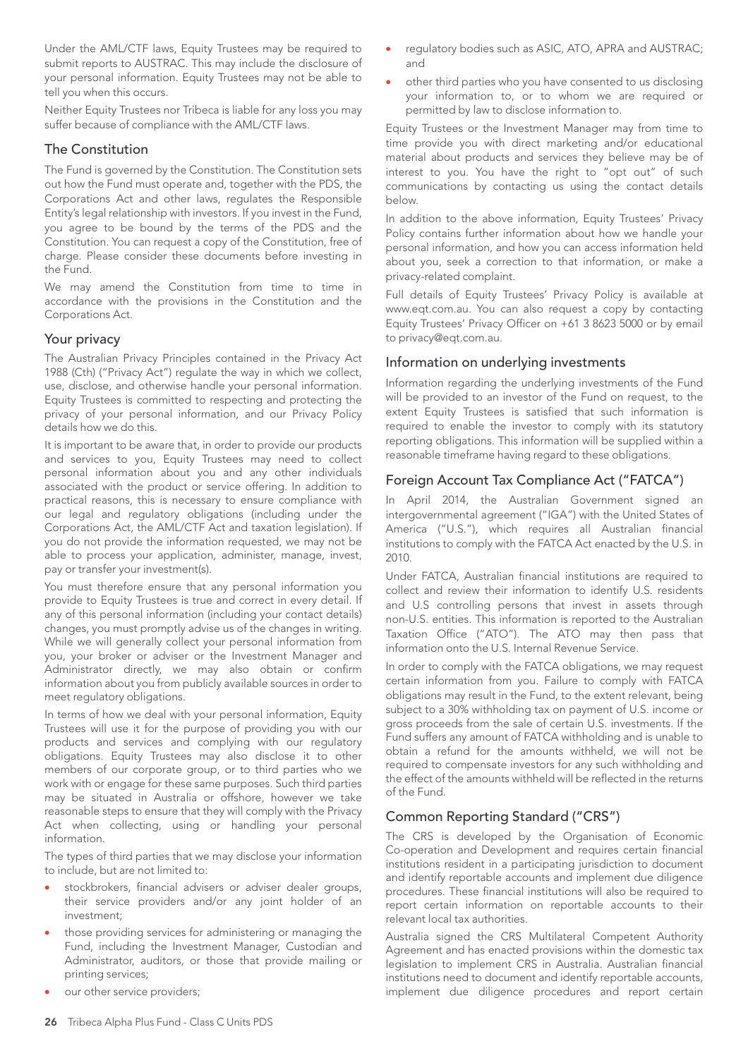Under the AML/CTF laws, Equity Trustees may be required to submit reports to AUSTRAC. This may include the disclosure of your personal information. Equity Trustees may not be able to tell you when this occurs.

Neither Equity Trustees nor Tribeca is liable for any loss you may suffer because of compliance with the AML/CTF laws.

#### The Constitution

The Fund is governed by the Constitution. The Constitution sets out how the Fund must operate and, together with the PDS, the Corporations Act and other laws, regulates the Responsible Entity's legal relationship with investors. If you invest in the Fund, you agree to be bound by the terms of the PDS and the Constitution. You can request a copy of the Constitution, free of charge. Please consider these documents before investing in the Fund.

We may amend the Constitution from time to time in accordance with the provisions in the Constitution and the Corporations Act.

## Your privacy

The Australian Privacy Principles contained in the Privacy Act 1988 (Cth) ("Privacy Act") regulate the way in which we collect, use, disclose, and otherwise handle your personal information. Equity Trustees is committed to respecting and protecting the privacy of your personal information, and our Privacy Policy details how we do this.

It is important to be aware that, in order to provide our products and services to you, Equity Trustees may need to collect personal information about you and any other individuals associated with the product or service offering. In addition to practical reasons, this is necessary to ensure compliance with our legal and regulatory obligations (including under the Corporations Act, the AML/CTF Act and taxation legislation). If you do not provide the information requested, we may not be able to process your application, administer, manage, invest, pay or transfer your investment(s).

You must therefore ensure that any personal information you provide to Equity Trustees is true and correct in every detail. If any of this personal information (including your contact details) changes, you must promptly advise us of the changes in writing. While we will generally collect your personal information from you, your broker or adviser or the Investment Manager and Administrator directly, we may also obtain or confirm information about you from publicly available sources in order to meet regulatory obligations.

In terms of how we deal with your personal information, Equity Trustees will use it for the purpose of providing you with our products and services and complying with our regulatory obligations. Equity Trustees may also disclose it to other members of our corporate group, or to third parties who we work with or engage for these same purposes. Such third parties may be situated in Australia or offshore, however we take reasonable steps to ensure that they will comply with the Privacy Act when collecting, using or handling your personal information.

The types of third parties that we may disclose your information to include, but are not limited to:

- stockbrokers, financial advisers or adviser dealer groups, their service providers and/or any joint holder of an investment;
- those providing services for administering or managing the Fund, including the Investment Manager, Custodian and Administrator, auditors, or those that provide mailing or printing services;
- our other service providers;
- regulatory bodies such as ASIC, ATO, APRA and AUSTRAC; and
- other third parties who you have consented to us disclosing your information to, or to whom we are required or permitted by law to disclose information to.

Equity Trustees or the Investment Manager may from time to time provide you with direct marketing and/or educational material about products and services they believe may be of interest to you. You have the right to "opt out" of such communications by contacting us using the contact details below.

In addition to the above information, Equity Trustees' Privacy Policy contains further information about how we handle your personal information, and how you can access information held about you, seek a correction to that information, or make a privacy-related complaint.

Full details of Equity Trustees' Privacy Policy is available at www.eqt.com.au. You can also request a copy by contacting Equity Trustees' Privacy Officer on +61 3 8623 5000 or by email to privacy@eqt.com.au.

### Information on underlying investments

Information regarding the underlying investments of the Fund will be provided to an investor of the Fund on request, to the extent Equity Trustees is satisfied that such information is required to enable the investor to comply with its statutory reporting obligations. This information will be supplied within a reasonable timeframe having regard to these obligations.

## Foreign Account Tax Compliance Act ("FATCA")

In April 2014, the Australian Government signed an intergovernmental agreement ("IGA") with the United States of America ("U.S."), which requires all Australian financial institutions to comply with the FATCA Act enacted by the U.S. in 2010.

Under FATCA, Australian financial institutions are required to collect and review their information to identify U.S. residents and U.S controlling persons that invest in assets through non-U.S. entities. This information is reported to the Australian Taxation Office ("ATO"). The ATO may then pass that information onto the U.S. Internal Revenue Service.

In order to comply with the FATCA obligations, we may request certain information from you. Failure to comply with FATCA obligations may result in the Fund, to the extent relevant, being subject to a 30% withholding tax on payment of U.S. income or gross proceeds from the sale of certain U.S. investments. If the Fund suffers any amount of FATCA withholding and is unable to obtain a refund for the amounts withheld, we will not be required to compensate investors for any such withholding and the effect of the amounts withheld will be reflected in the returns of the Fund.

## Common Reporting Standard ("CRS")

The CRS is developed by the Organisation of Economic Co-operation and Development and requires certain financial institutions resident in a participating jurisdiction to document and identify reportable accounts and implement due diligence procedures. These financial institutions will also be required to report certain information on reportable accounts to their relevant local tax authorities.

Australia signed the CRS Multilateral Competent Authority Agreement and has enacted provisions within the domestic tax legislation to implement CRS in Australia. Australian financial institutions need to document and identify reportable accounts, implement due diligence procedures and report certain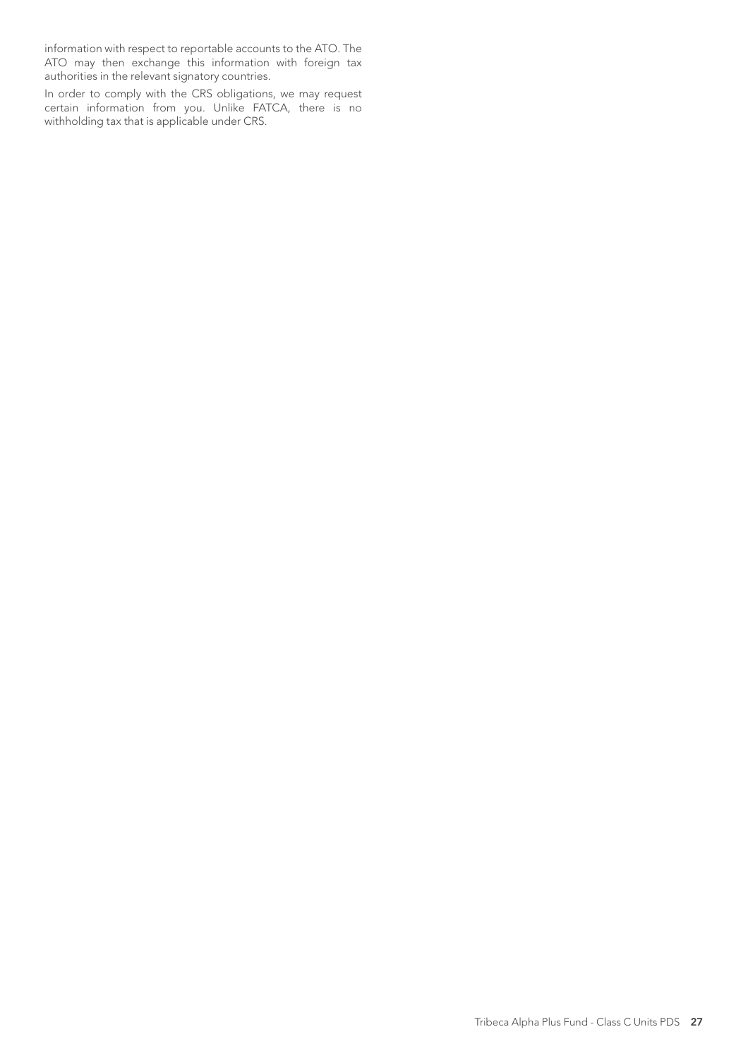information with respect to reportable accounts to the ATO. The ATO may then exchange this information with foreign tax authorities in the relevant signatory countries.

In order to comply with the CRS obligations, we may request certain information from you. Unlike FATCA, there is no withholding tax that is applicable under CRS.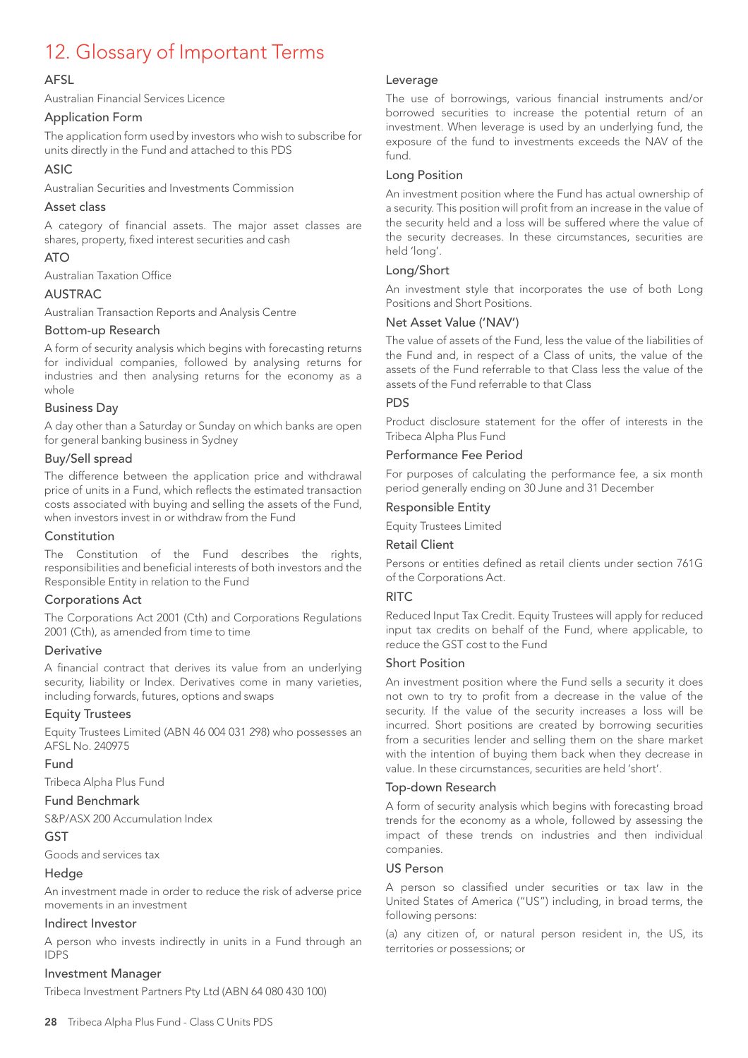## 12. Glossary of Important Terms

### AFSL

Australian Financial Services Licence

#### Application Form

The application form used by investors who wish to subscribe for units directly in the Fund and attached to this PDS

#### ASIC

Australian Securities and Investments Commission

#### Asset class

A category of financial assets. The major asset classes are shares, property, fixed interest securities and cash

#### ATO

Australian Taxation Office

#### AUSTRAC

Australian Transaction Reports and Analysis Centre

#### Bottom-up Research

A form of security analysis which begins with forecasting returns for individual companies, followed by analysing returns for industries and then analysing returns for the economy as a whole

### Business Day

A day other than a Saturday or Sunday on which banks are open for general banking business in Sydney

#### Buy/Sell spread

The difference between the application price and withdrawal price of units in a Fund, which reflects the estimated transaction costs associated with buying and selling the assets of the Fund, when investors invest in or withdraw from the Fund

#### Constitution

The Constitution of the Fund describes the rights, responsibilities and beneficial interests of both investors and the Responsible Entity in relation to the Fund

#### Corporations Act

The Corporations Act 2001 (Cth) and Corporations Regulations 2001 (Cth), as amended from time to time

#### **Derivative**

A financial contract that derives its value from an underlying security, liability or Index. Derivatives come in many varieties, including forwards, futures, options and swaps

#### Equity Trustees

Equity Trustees Limited (ABN 46 004 031 298) who possesses an AFSL No. 240975

#### Fund

Tribeca Alpha Plus Fund

#### Fund Benchmark

S&P/ASX 200 Accumulation Index

#### GST

Goods and services tax

#### Hedge

An investment made in order to reduce the risk of adverse price movements in an investment

#### Indirect Investor

A person who invests indirectly in units in a Fund through an IDPS

#### Investment Manager

Tribeca Investment Partners Pty Ltd (ABN 64 080 430 100)

The use of borrowings, various financial instruments and/or borrowed securities to increase the potential return of an investment. When leverage is used by an underlying fund, the exposure of the fund to investments exceeds the NAV of the fund.

#### Long Position

An investment position where the Fund has actual ownership of a security. This position will profit from an increase in the value of the security held and a loss will be suffered where the value of the security decreases. In these circumstances, securities are held 'long'.

#### Long/Short

An investment style that incorporates the use of both Long Positions and Short Positions.

#### Net Asset Value ('NAV')

The value of assets of the Fund, less the value of the liabilities of the Fund and, in respect of a Class of units, the value of the assets of the Fund referrable to that Class less the value of the assets of the Fund referrable to that Class

#### PDS

Product disclosure statement for the offer of interests in the Tribeca Alpha Plus Fund

### Performance Fee Period

For purposes of calculating the performance fee, a six month period generally ending on 30 June and 31 December

#### Responsible Entity

Equity Trustees Limited

## Retail Client

Persons or entities defined as retail clients under section 761G of the Corporations Act.

#### **RITC**

Reduced Input Tax Credit. Equity Trustees will apply for reduced input tax credits on behalf of the Fund, where applicable, to reduce the GST cost to the Fund

#### Short Position

An investment position where the Fund sells a security it does not own to try to profit from a decrease in the value of the security. If the value of the security increases a loss will be incurred. Short positions are created by borrowing securities from a securities lender and selling them on the share market with the intention of buying them back when they decrease in value. In these circumstances, securities are held 'short'.

#### Top-down Research

A form of security analysis which begins with forecasting broad trends for the economy as a whole, followed by assessing the impact of these trends on industries and then individual companies.

#### US Person

A person so classified under securities or tax law in the United States of America ("US") including, in broad terms, the following persons:

(a) any citizen of, or natural person resident in, the US, its territories or possessions; or